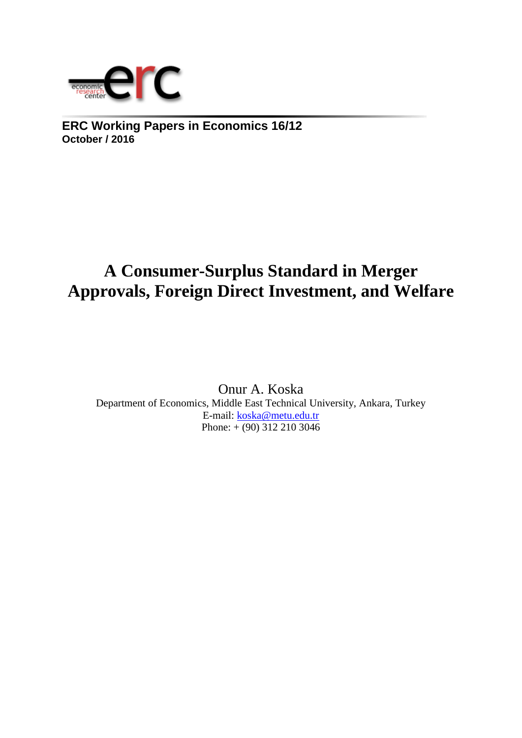

**ERC Working Papers in Economics 16/12 October / 2016**

# **A Consumer-Surplus Standard in Merger Approvals, Foreign Direct Investment, and Welfare**

Onur A. Koska Department of Economics, Middle East Technical University, Ankara, Turkey E-mail: [koska@metu.edu.tr](mailto:koska@metu.edu.tr)  Phone:  $+\overline{(90) 312 210 3046}$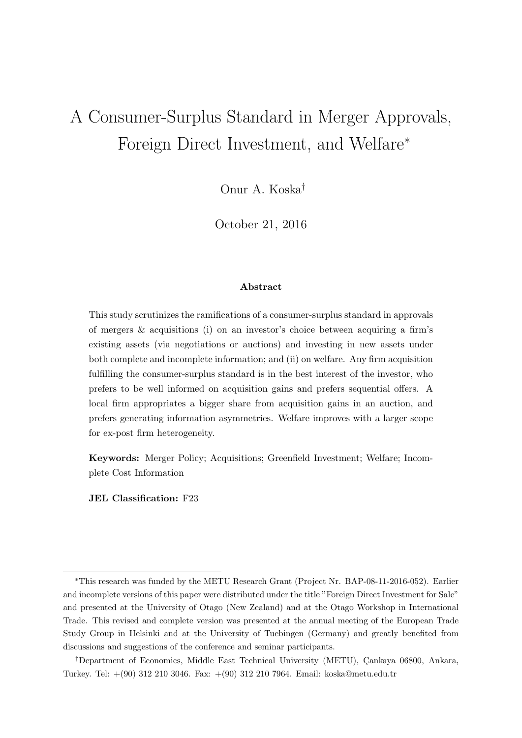# A Consumer-Surplus Standard in Merger Approvals, Foreign Direct Investment, and Welfare<sup>∗</sup>

Onur A. Koska†

October 21, 2016

#### Abstract

This study scrutinizes the ramifications of a consumer-surplus standard in approvals of mergers & acquisitions (i) on an investor's choice between acquiring a firm's existing assets (via negotiations or auctions) and investing in new assets under both complete and incomplete information; and (ii) on welfare. Any firm acquisition fulfilling the consumer-surplus standard is in the best interest of the investor, who prefers to be well informed on acquisition gains and prefers sequential offers. A local firm appropriates a bigger share from acquisition gains in an auction, and prefers generating information asymmetries. Welfare improves with a larger scope for ex-post firm heterogeneity.

Keywords: Merger Policy; Acquisitions; Greenfield Investment; Welfare; Incomplete Cost Information

JEL Classification: F23

<sup>∗</sup>This research was funded by the METU Research Grant (Project Nr. BAP-08-11-2016-052). Earlier and incomplete versions of this paper were distributed under the title "Foreign Direct Investment for Sale" and presented at the University of Otago (New Zealand) and at the Otago Workshop in International Trade. This revised and complete version was presented at the annual meeting of the European Trade Study Group in Helsinki and at the University of Tuebingen (Germany) and greatly benefited from discussions and suggestions of the conference and seminar participants.

<sup>&</sup>lt;sup>†</sup>Department of Economics, Middle East Technical University (METU), Çankaya 06800, Ankara, Turkey. Tel: +(90) 312 210 3046. Fax: +(90) 312 210 7964. Email: koska@metu.edu.tr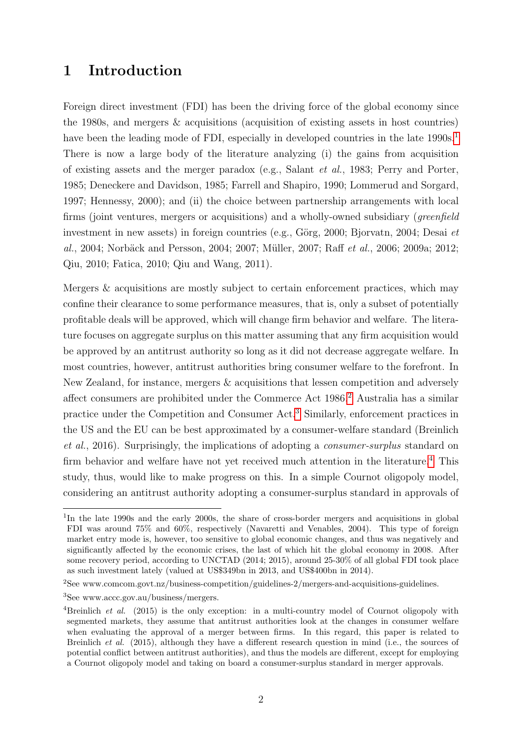## 1 Introduction

Foreign direct investment (FDI) has been the driving force of the global economy since the 1980s, and mergers & acquisitions (acquisition of existing assets in host countries) have been the leading mode of FDI, especially in developed countries in the late  $1990s<sup>1</sup>$ There is now a large body of the literature analyzing (i) the gains from acquisition of existing assets and the merger paradox (e.g., Salant et al., 1983; Perry and Porter, 1985; Deneckere and Davidson, 1985; Farrell and Shapiro, 1990; Lommerud and Sorgard, 1997; Hennessy, 2000); and (ii) the choice between partnership arrangements with local firms (joint ventures, mergers or acquisitions) and a wholly-owned subsidiary (greenfield investment in new assets) in foreign countries (e.g., Görg, 2000; Bjorvatn, 2004; Desai et al., 2004; Norbäck and Persson, 2004; 2007; Müller, 2007; Raff et al., 2006; 2009a; 2012; Qiu, 2010; Fatica, 2010; Qiu and Wang, 2011).

Mergers & acquisitions are mostly subject to certain enforcement practices, which may confine their clearance to some performance measures, that is, only a subset of potentially profitable deals will be approved, which will change firm behavior and welfare. The literature focuses on aggregate surplus on this matter assuming that any firm acquisition would be approved by an antitrust authority so long as it did not decrease aggregate welfare. In most countries, however, antitrust authorities bring consumer welfare to the forefront. In New Zealand, for instance, mergers & acquisitions that lessen competition and adversely affect consumers are prohibited under the Commerce Act  $1986\frac{2}{3}$  Australia has a similar practice under the Competition and Consumer Act.<sup>3</sup> Similarly, enforcement practices in the US and the EU can be best approximated by a consumer-welfare standard (Breinlich et al., 2016). Surprisingly, the implications of adopting a consumer-surplus standard on firm behavior and welfare have not yet received much attention in the literature.<sup>[4]</sup> This study, thus, would like to make progress on this. In a simple Cournot oligopoly model, considering an antitrust authority adopting a consumer-surplus standard in approvals of

<sup>&</sup>lt;sup>1</sup>In the late 1990s and the early 2000s, the share of cross-border mergers and acquisitions in global FDI was around 75% and 60%, respectively (Navaretti and Venables, 2004). This type of foreign market entry mode is, however, too sensitive to global economic changes, and thus was negatively and significantly affected by the economic crises, the last of which hit the global economy in 2008. After some recovery period, according to UNCTAD (2014; 2015), around 25-30% of all global FDI took place as such investment lately (valued at US\$349bn in 2013, and US\$400bn in 2014).

<sup>2</sup>See www.comcom.govt.nz/business-competition/guidelines-2/mergers-and-acquisitions-guidelines.

<sup>3</sup>See www.accc.gov.au/business/mergers.

<sup>&</sup>lt;sup>4</sup>Breinlich *et al.* (2015) is the only exception: in a multi-country model of Cournot oligopoly with segmented markets, they assume that antitrust authorities look at the changes in consumer welfare when evaluating the approval of a merger between firms. In this regard, this paper is related to Breinlich et al. (2015), although they have a different research question in mind (i.e., the sources of potential conflict between antitrust authorities), and thus the models are different, except for employing a Cournot oligopoly model and taking on board a consumer-surplus standard in merger approvals.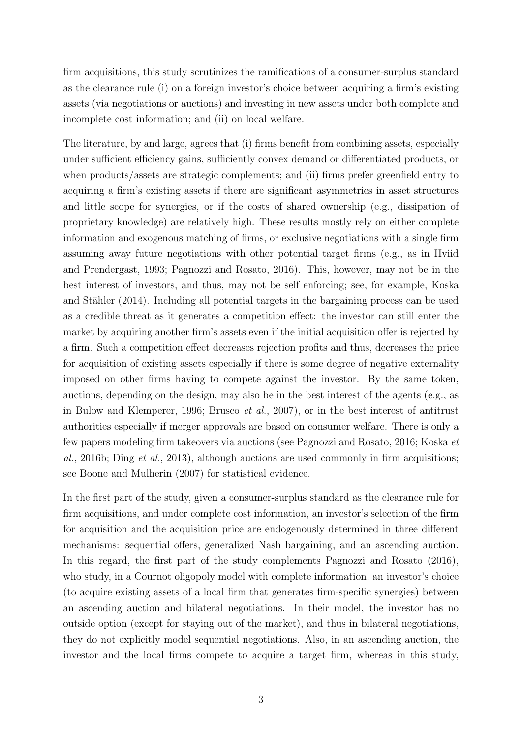firm acquisitions, this study scrutinizes the ramifications of a consumer-surplus standard as the clearance rule (i) on a foreign investor's choice between acquiring a firm's existing assets (via negotiations or auctions) and investing in new assets under both complete and incomplete cost information; and (ii) on local welfare.

The literature, by and large, agrees that (i) firms benefit from combining assets, especially under sufficient efficiency gains, sufficiently convex demand or differentiated products, or when products/assets are strategic complements; and (ii) firms prefer greenfield entry to acquiring a firm's existing assets if there are significant asymmetries in asset structures and little scope for synergies, or if the costs of shared ownership (e.g., dissipation of proprietary knowledge) are relatively high. These results mostly rely on either complete information and exogenous matching of firms, or exclusive negotiations with a single firm assuming away future negotiations with other potential target firms (e.g., as in Hviid and Prendergast, 1993; Pagnozzi and Rosato, 2016). This, however, may not be in the best interest of investors, and thus, may not be self enforcing; see, for example, Koska and Stähler (2014). Including all potential targets in the bargaining process can be used as a credible threat as it generates a competition effect: the investor can still enter the market by acquiring another firm's assets even if the initial acquisition offer is rejected by a firm. Such a competition effect decreases rejection profits and thus, decreases the price for acquisition of existing assets especially if there is some degree of negative externality imposed on other firms having to compete against the investor. By the same token, auctions, depending on the design, may also be in the best interest of the agents (e.g., as in Bulow and Klemperer, 1996; Brusco et al., 2007), or in the best interest of antitrust authorities especially if merger approvals are based on consumer welfare. There is only a few papers modeling firm takeovers via auctions (see Pagnozzi and Rosato, 2016; Koska et al., 2016b; Ding et al., 2013), although auctions are used commonly in firm acquisitions; see Boone and Mulherin (2007) for statistical evidence.

In the first part of the study, given a consumer-surplus standard as the clearance rule for firm acquisitions, and under complete cost information, an investor's selection of the firm for acquisition and the acquisition price are endogenously determined in three different mechanisms: sequential offers, generalized Nash bargaining, and an ascending auction. In this regard, the first part of the study complements Pagnozzi and Rosato (2016), who study, in a Cournot oligopoly model with complete information, an investor's choice (to acquire existing assets of a local firm that generates firm-specific synergies) between an ascending auction and bilateral negotiations. In their model, the investor has no outside option (except for staying out of the market), and thus in bilateral negotiations, they do not explicitly model sequential negotiations. Also, in an ascending auction, the investor and the local firms compete to acquire a target firm, whereas in this study,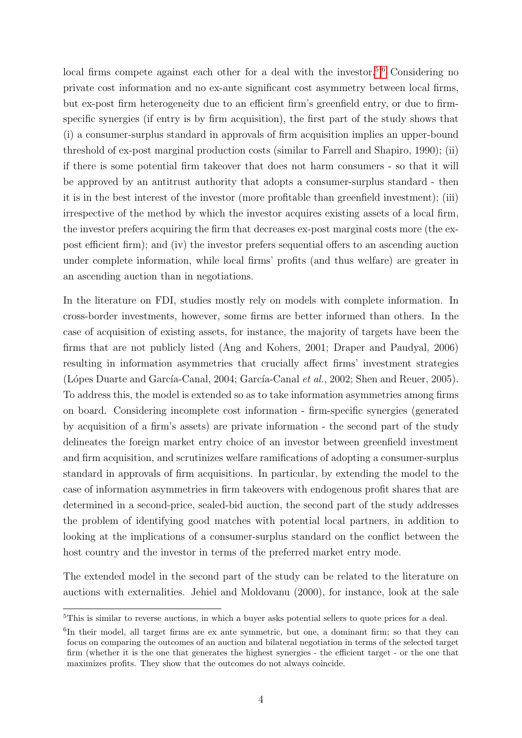local firms compete against each other for a deal with the investor.<sup>5,6</sup> Considering no private cost information and no ex-ante significant cost asymmetry between local firms, but ex-post firm heterogeneity due to an efficient firm's greenfield entry, or due to firmspecific synergies (if entry is by firm acquisition), the first part of the study shows that (i) a consumer-surplus standard in approvals of firm acquisition implies an upper-bound threshold of ex-post marginal production costs (similar to Farrell and Shapiro, 1990); (ii) if there is some potential firm takeover that does not harm consumers - so that it will be approved by an antitrust authority that adopts a consumer-surplus standard - then it is in the best interest of the investor (more profitable than greenfield investment); (iii) irrespective of the method by which the investor acquires existing assets of a local firm, the investor prefers acquiring the firm that decreases ex-post marginal costs more (the expost efficient firm); and (iv) the investor prefers sequential offers to an ascending auction under complete information, while local firms' profits (and thus welfare) are greater in an ascending auction than in negotiations.

In the literature on FDI, studies mostly rely on models with complete information. In cross-border investments, however, some firms are better informed than others. In the case of acquisition of existing assets, for instance, the majority of targets have been the firms that are not publicly listed (Ang and Kohers, 2001; Draper and Paudyal, 2006) resulting in information asymmetries that crucially affect firms' investment strategies (Lópes Duarte and García-Canal, 2004; García-Canal et al., 2002; Shen and Reuer, 2005). To address this, the model is extended so as to take information asymmetries among firms on board. Considering incomplete cost information - firm-specific synergies (generated by acquisition of a firm's assets) are private information - the second part of the study delineates the foreign market entry choice of an investor between greenfield investment and firm acquisition, and scrutinizes welfare ramifications of adopting a consumer-surplus standard in approvals of firm acquisitions. In particular, by extending the model to the case of information asymmetries in firm takeovers with endogenous profit shares that are determined in a second-price, sealed-bid auction, the second part of the study addresses the problem of identifying good matches with potential local partners, in addition to looking at the implications of a consumer-surplus standard on the conflict between the host country and the investor in terms of the preferred market entry mode.

The extended model in the second part of the study can be related to the literature on auctions with externalities. Jehiel and Moldovanu (2000), for instance, look at the sale

<sup>&</sup>lt;sup>5</sup>This is similar to reverse auctions, in which a buyer asks potential sellers to quote prices for a deal.

<sup>&</sup>lt;sup>6</sup>In their model, all target firms are ex ante symmetric, but one, a dominant firm; so that they can focus on comparing the outcomes of an auction and bilateral negotiation in terms of the selected target firm (whether it is the one that generates the highest synergies - the efficient target - or the one that maximizes profits. They show that the outcomes do not always coincide.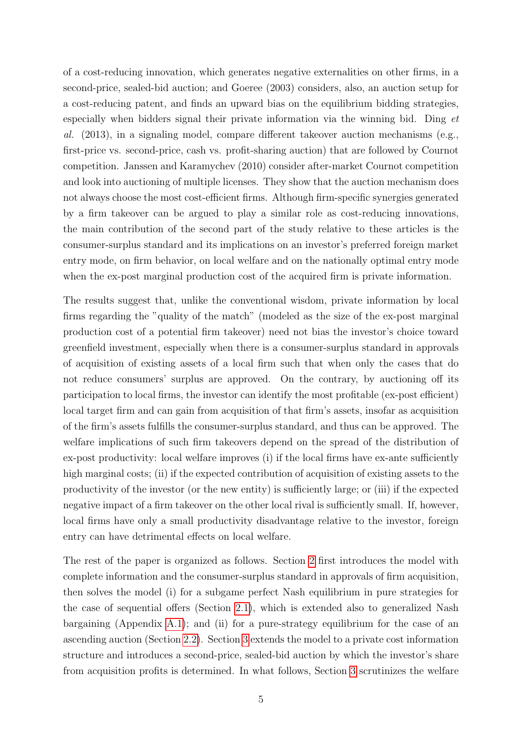of a cost-reducing innovation, which generates negative externalities on other firms, in a second-price, sealed-bid auction; and Goeree (2003) considers, also, an auction setup for a cost-reducing patent, and finds an upward bias on the equilibrium bidding strategies, especially when bidders signal their private information via the winning bid. Ding et al. (2013), in a signaling model, compare different takeover auction mechanisms (e.g., first-price vs. second-price, cash vs. profit-sharing auction) that are followed by Cournot competition. Janssen and Karamychev (2010) consider after-market Cournot competition and look into auctioning of multiple licenses. They show that the auction mechanism does not always choose the most cost-efficient firms. Although firm-specific synergies generated by a firm takeover can be argued to play a similar role as cost-reducing innovations, the main contribution of the second part of the study relative to these articles is the consumer-surplus standard and its implications on an investor's preferred foreign market entry mode, on firm behavior, on local welfare and on the nationally optimal entry mode when the ex-post marginal production cost of the acquired firm is private information.

The results suggest that, unlike the conventional wisdom, private information by local firms regarding the "quality of the match" (modeled as the size of the ex-post marginal production cost of a potential firm takeover) need not bias the investor's choice toward greenfield investment, especially when there is a consumer-surplus standard in approvals of acquisition of existing assets of a local firm such that when only the cases that do not reduce consumers' surplus are approved. On the contrary, by auctioning off its participation to local firms, the investor can identify the most profitable (ex-post efficient) local target firm and can gain from acquisition of that firm's assets, insofar as acquisition of the firm's assets fulfills the consumer-surplus standard, and thus can be approved. The welfare implications of such firm takeovers depend on the spread of the distribution of ex-post productivity: local welfare improves (i) if the local firms have ex-ante sufficiently high marginal costs; (ii) if the expected contribution of acquisition of existing assets to the productivity of the investor (or the new entity) is sufficiently large; or (iii) if the expected negative impact of a firm takeover on the other local rival is sufficiently small. If, however, local firms have only a small productivity disadvantage relative to the investor, foreign entry can have detrimental effects on local welfare.

The rest of the paper is organized as follows. Section  $\boxed{2}$  first introduces the model with complete information and the consumer-surplus standard in approvals of firm acquisition, then solves the model (i) for a subgame perfect Nash equilibrium in pure strategies for the case of sequential offers (Section  $[2.1]$ ), which is extended also to generalized Nash bargaining (Appendix  $|A.1|$ ); and (ii) for a pure-strategy equilibrium for the case of an ascending auction (Section  $\boxed{2.2}$ ). Section  $\boxed{3}$  extends the model to a private cost information structure and introduces a second-price, sealed-bid auction by which the investor's share from acquisition profits is determined. In what follows, Section  $\overline{3}$  scrutinizes the welfare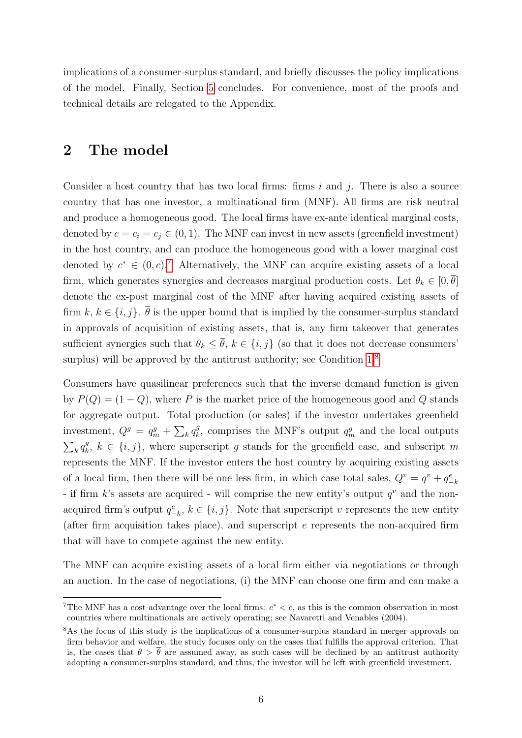implications of a consumer-surplus standard, and briefly discusses the policy implications of the model. Finally, Section 5 concludes. For convenience, most of the proofs and technical details are relegated to the Appendix.

# 2 The model

Consider a host country that has two local firms: firms  $i$  and  $j$ . There is also a source country that has one investor, a multinational firm (MNF). All firms are risk neutral and produce a homogeneous good. The local firms have ex-ante identical marginal costs, denoted by  $c = c_i = c_j \in (0, 1)$ . The MNF can invest in new assets (greenfield investment) in the host country, and can produce the homogeneous good with a lower marginal cost denoted by  $c^* \in (0, c)$ <sup>7</sup> Alternatively, the MNF can acquire existing assets of a local firm, which generates synergies and decreases marginal production costs. Let  $\theta_k \in [0, \theta]$ denote the ex-post marginal cost of the MNF after having acquired existing assets of firm k,  $k \in \{i, j\}$ .  $\overline{\theta}$  is the upper bound that is implied by the consumer-surplus standard in approvals of acquisition of existing assets, that is, any firm takeover that generates sufficient synergies such that  $\theta_k \leq \overline{\theta}$ ,  $k \in \{i, j\}$  (so that it does not decrease consumers' surplus) will be approved by the antitrust authority; see Condition  $[1]^8$ 

Consumers have quasilinear preferences such that the inverse demand function is given by  $P(Q) = (1 - Q)$ , where P is the market price of the homogeneous good and Q stands for aggregate output. Total production (or sales) if the investor undertakes greenfield investment,  $Q^g = q_m^g + \sum_k q_k^g$  $k<sub>k</sub>$ , comprises the MNF's output  $q_m^g$  and the local outputs  $\sum_k q_k^g$  $\{i, j\}$ ,  $k \in \{i, j\}$ , where superscript g stands for the greenfield case, and subscript m represents the MNF. If the investor enters the host country by acquiring existing assets of a local firm, then there will be one less firm, in which case total sales,  $Q^v = q^v + q_{-k}^e$ - if firm  $k$ 's assets are acquired - will comprise the new entity's output  $q^v$  and the nonacquired firm's output  $q_{-k}^e$ ,  $k \in \{i, j\}$ . Note that superscript v represents the new entity (after firm acquisition takes place), and superscript  $e$  represents the non-acquired firm that will have to compete against the new entity.

The MNF can acquire existing assets of a local firm either via negotiations or through an auction. In the case of negotiations, (i) the MNF can choose one firm and can make a

<sup>&</sup>lt;sup>7</sup>The MNF has a cost advantage over the local firms:  $c^* < c$ , as this is the common observation in most countries where multinationals are actively operating; see Navaretti and Venables (2004).

<sup>&</sup>lt;sup>8</sup>As the focus of this study is the implications of a consumer-surplus standard in merger approvals on firm behavior and welfare, the study focuses only on the cases that fulfills the approval criterion. That is, the cases that  $\theta > \bar{\theta}$  are assumed away, as such cases will be declined by an antitrust authority adopting a consumer-surplus standard, and thus, the investor will be left with greenfield investment.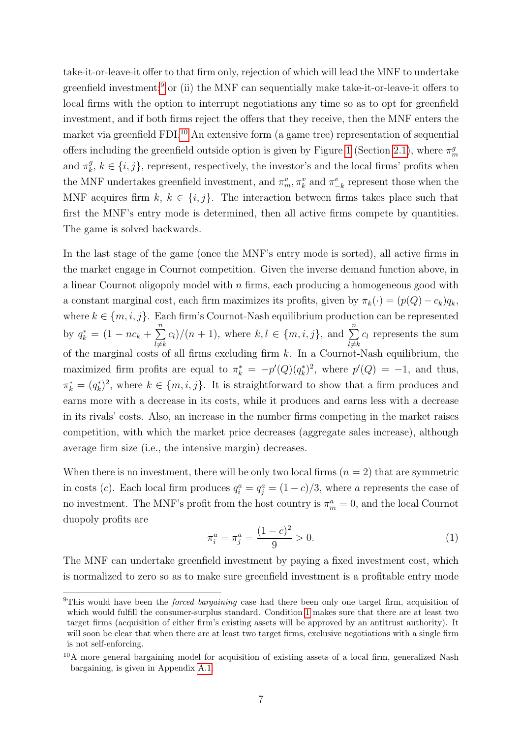take-it-or-leave-it offer to that firm only, rejection of which will lead the MNF to undertake greenfield investment;<sup>9</sup> or (ii) the MNF can sequentially make take-it-or-leave-it offers to local firms with the option to interrupt negotiations any time so as to opt for greenfield investment, and if both firms reject the offers that they receive, then the MNF enters the market via greenfield  $FDI<sup>10</sup>$  An extensive form (a game tree) representation of sequential offers including the greenfield outside option is given by Figure  $\boxed{1}$  (Section  $\boxed{2.1}$ ), where  $\pi_m^g$ and  $\pi_k^g$  $\{i, j\}$ ,  $k \in \{i, j\}$ , represent, respectively, the investor's and the local firms' profits when the MNF undertakes greenfield investment, and  $\pi_m^v$ ,  $\pi_k^v$  and  $\pi_{-k}^e$  represent those when the MNF acquires firm  $k, k \in \{i, j\}$ . The interaction between firms takes place such that first the MNF's entry mode is determined, then all active firms compete by quantities. The game is solved backwards.

In the last stage of the game (once the MNF's entry mode is sorted), all active firms in the market engage in Cournot competition. Given the inverse demand function above, in a linear Cournot oligopoly model with  $n$  firms, each producing a homogeneous good with a constant marginal cost, each firm maximizes its profits, given by  $\pi_k(\cdot) = (p(Q) - c_k)q_k$ , where  $k \in \{m, i, j\}$ . Each firm's Cournot-Nash equilibrium production can be represented by  $q_k^* = (1 - nc_k + \sum_{k=1}^{n}$  $_{l \neq k}$  $c_l$ /(n + 1), where  $k, l \in \{m, i, j\}$ , and  $\sum_{n=1}^{n}$  $l \neq k$  $c_l$  represents the sum of the marginal costs of all firms excluding firm  $k$ . In a Cournot-Nash equilibrium, the maximized firm profits are equal to  $\pi_k^* = -p'(Q)(q_k^*)^2$ , where  $p'(Q) = -1$ , and thus,  $\pi_k^* = (q_k^*)^2$ , where  $k \in \{m, i, j\}$ . It is straightforward to show that a firm produces and earns more with a decrease in its costs, while it produces and earns less with a decrease in its rivals' costs. Also, an increase in the number firms competing in the market raises competition, with which the market price decreases (aggregate sales increase), although average firm size (i.e., the intensive margin) decreases.

When there is no investment, there will be only two local firms  $(n = 2)$  that are symmetric in costs (c). Each local firm produces  $q_i^a = q_j^a = (1 - c)/3$ , where a represents the case of no investment. The MNF's profit from the host country is  $\pi_m^a = 0$ , and the local Cournot duopoly profits are

$$
\pi_i^a = \pi_j^a = \frac{(1-c)^2}{9} > 0. \tag{1}
$$

The MNF can undertake greenfield investment by paying a fixed investment cost, which is normalized to zero so as to make sure greenfield investment is a profitable entry mode

<sup>&</sup>lt;sup>9</sup>This would have been the *forced bargaining* case had there been only one target firm, acquisition of which would fulfill the consumer-surplus standard. Condition  $\overline{\Pi}$  makes sure that there are at least two target firms (acquisition of either firm's existing assets will be approved by an antitrust authority). It will soon be clear that when there are at least two target firms, exclusive negotiations with a single firm is not self-enforcing.

 $10$ A more general bargaining model for acquisition of existing assets of a local firm, generalized Nash bargaining, is given in Appendix A.1.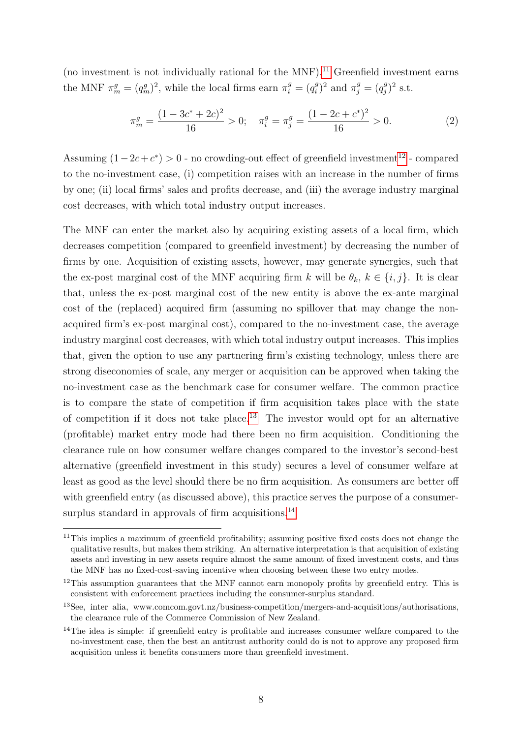(no investment is not individually rational for the MNF).<sup>[11]</sup> Greenfield investment earns the MNF  $\pi_m^g = (q_m^g)^2$ , while the local firms earn  $\pi_i^g = (q_i^g)$  $(x_i^g)^2$  and  $\pi_j^g = (q_j^g)$  $j^g)^2$  s.t.

$$
\pi_m^g = \frac{(1 - 3c^* + 2c)^2}{16} > 0; \quad \pi_i^g = \pi_j^g = \frac{(1 - 2c + c^*)^2}{16} > 0.
$$
 (2)

Assuming  $(1-2c+c^*) > 0$  - no crowding-out effect of greenfield investment<sup>[12</sup>] - compared to the no-investment case, (i) competition raises with an increase in the number of firms by one; (ii) local firms' sales and profits decrease, and (iii) the average industry marginal cost decreases, with which total industry output increases.

The MNF can enter the market also by acquiring existing assets of a local firm, which decreases competition (compared to greenfield investment) by decreasing the number of firms by one. Acquisition of existing assets, however, may generate synergies, such that the ex-post marginal cost of the MNF acquiring firm k will be  $\theta_k$ ,  $k \in \{i, j\}$ . It is clear that, unless the ex-post marginal cost of the new entity is above the ex-ante marginal cost of the (replaced) acquired firm (assuming no spillover that may change the nonacquired firm's ex-post marginal cost), compared to the no-investment case, the average industry marginal cost decreases, with which total industry output increases. This implies that, given the option to use any partnering firm's existing technology, unless there are strong diseconomies of scale, any merger or acquisition can be approved when taking the no-investment case as the benchmark case for consumer welfare. The common practice is to compare the state of competition if firm acquisition takes place with the state of competition if it does not take place.<sup>[3]</sup> The investor would opt for an alternative (profitable) market entry mode had there been no firm acquisition. Conditioning the clearance rule on how consumer welfare changes compared to the investor's second-best alternative (greenfield investment in this study) secures a level of consumer welfare at least as good as the level should there be no firm acquisition. As consumers are better off with greenfield entry (as discussed above), this practice serves the purpose of a consumersurplus standard in approvals of firm acquisitions. $\sqrt{14}$ 

<sup>&</sup>lt;sup>11</sup>This implies a maximum of greenfield profitability; assuming positive fixed costs does not change the qualitative results, but makes them striking. An alternative interpretation is that acquisition of existing assets and investing in new assets require almost the same amount of fixed investment costs, and thus the MNF has no fixed-cost-saving incentive when choosing between these two entry modes.

 $12$ This assumption guarantees that the MNF cannot earn monopoly profits by greenfield entry. This is consistent with enforcement practices including the consumer-surplus standard.

<sup>13</sup>See, inter alia, www.comcom.govt.nz/business-competition/mergers-and-acquisitions/authorisations, the clearance rule of the Commerce Commission of New Zealand.

<sup>&</sup>lt;sup>14</sup>The idea is simple: if greenfield entry is profitable and increases consumer welfare compared to the no-investment case, then the best an antitrust authority could do is not to approve any proposed firm acquisition unless it benefits consumers more than greenfield investment.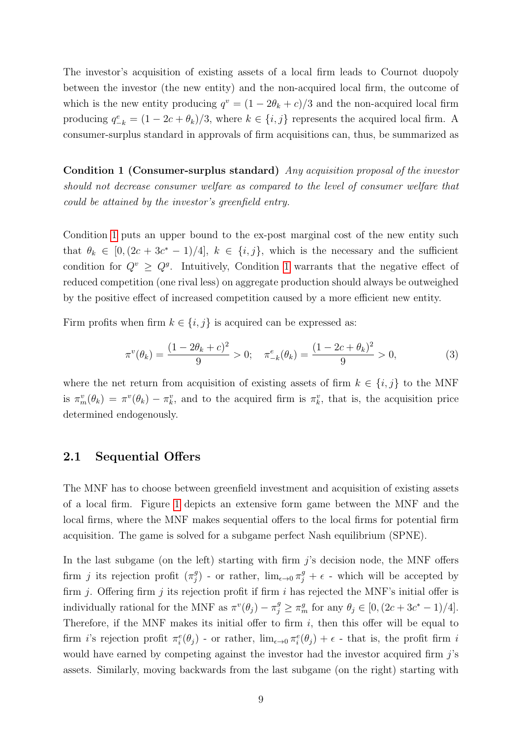The investor's acquisition of existing assets of a local firm leads to Cournot duopoly between the investor (the new entity) and the non-acquired local firm, the outcome of which is the new entity producing  $q^v = (1 - 2\theta_k + c)/3$  and the non-acquired local firm producing  $q_{-k}^e = (1 - 2c + \theta_k)/3$ , where  $k \in \{i, j\}$  represents the acquired local firm. A consumer-surplus standard in approvals of firm acquisitions can, thus, be summarized as

Condition 1 (Consumer-surplus standard) Any acquisition proposal of the investor should not decrease consumer welfare as compared to the level of consumer welfare that could be attained by the investor's greenfield entry.

Condition  $\overline{1}$  puts an upper bound to the ex-post marginal cost of the new entity such that  $\theta_k \in [0, (2c + 3c^* - 1)/4], k \in \{i, j\}$ , which is the necessary and the sufficient condition for  $Q^v \geq Q^g$ . Intuitively, Condition  $\overline{1}$  warrants that the negative effect of reduced competition (one rival less) on aggregate production should always be outweighed by the positive effect of increased competition caused by a more efficient new entity.

Firm profits when firm  $k \in \{i, j\}$  is acquired can be expressed as:

$$
\pi^v(\theta_k) = \frac{(1 - 2\theta_k + c)^2}{9} > 0; \quad \pi_{-k}^e(\theta_k) = \frac{(1 - 2c + \theta_k)^2}{9} > 0,
$$
\n(3)

where the net return from acquisition of existing assets of firm  $k \in \{i, j\}$  to the MNF is  $\pi_m^v(\theta_k) = \pi^v(\theta_k) - \pi_k^v$ , and to the acquired firm is  $\pi_k^v$ , that is, the acquisition price determined endogenously.

#### 2.1 Sequential Offers

The MNF has to choose between greenfield investment and acquisition of existing assets of a local firm. Figure  $\overline{1}$  depicts an extensive form game between the MNF and the local firms, where the MNF makes sequential offers to the local firms for potential firm acquisition. The game is solved for a subgame perfect Nash equilibrium (SPNE).

In the last subgame (on the left) starting with firm  $j$ 's decision node, the MNF offers firm *j* its rejection profit  $(\pi_i^g)$ <sup>g</sup>) - or rather, lim<sub>ε→0</sub> π<sup>g</sup><sub>j</sub> + ε - which will be accepted by firm *j*. Offering firm *j* its rejection profit if firm *i* has rejected the MNF's initial offer is individually rational for the MNF as  $\pi^v(\theta_j) - \pi_j^g \ge \pi_m^g$  for any  $\theta_j \in [0, (2c + 3c^* - 1)/4]$ . Therefore, if the MNF makes its initial offer to firm  $i$ , then this offer will be equal to firm *i*'s rejection profit  $\pi_i^e(\theta_j)$  - or rather,  $\lim_{\epsilon \to 0} \pi_i^e(\theta_j) + \epsilon$  - that is, the profit firm *i* would have earned by competing against the investor had the investor acquired firm  $j$ 's assets. Similarly, moving backwards from the last subgame (on the right) starting with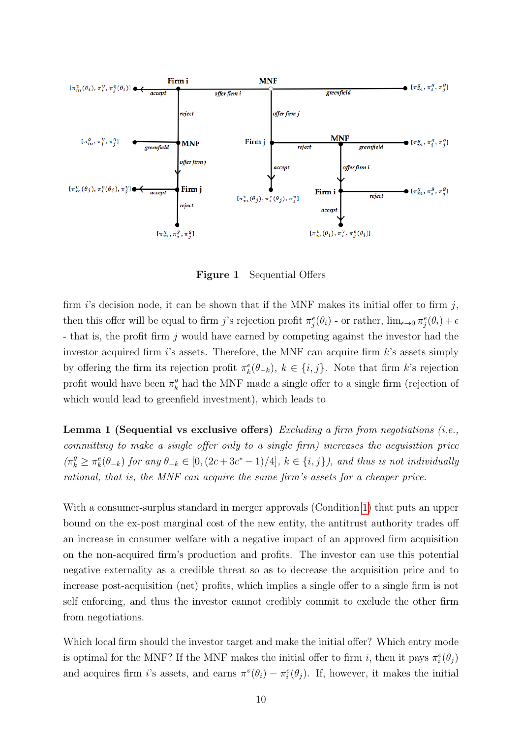

Figure 1 Sequential Offers

firm i's decision node, it can be shown that if the MNF makes its initial offer to firm j, then this offer will be equal to firm j's rejection profit  $\pi_j^e(\theta_i)$  - or rather,  $\lim_{\epsilon\to 0} \pi_j^e(\theta_i) + \epsilon$ - that is, the profit firm j would have earned by competing against the investor had the investor acquired firm  $i$ 's assets. Therefore, the MNF can acquire firm  $k$ 's assets simply by offering the firm its rejection profit  $\pi_k^e(\theta_{-k}), k \in \{i, j\}$ . Note that firm k's rejection profit would have been  $\pi_k^g$  $\frac{g}{k}$  had the MNF made a single offer to a single firm (rejection of which would lead to greenfield investment), which leads to

**Lemma 1 (Sequential vs exclusive offers)** Excluding a firm from negotiations (i.e., committing to make a single offer only to a single firm) increases the acquisition price  $(\pi_k^g \geq \pi_k^e(\theta_{-k})$  for any  $\theta_{-k} \in [0, (2c+3c^*-1)/4]$ ,  $k \in \{i, j\}$ , and thus is not individually rational, that is, the MNF can acquire the same firm's assets for a cheaper price.

With a consumer-surplus standard in merger approvals (Condition  $\vert \mathbf{1} \vert$ ) that puts an upper bound on the ex-post marginal cost of the new entity, the antitrust authority trades off an increase in consumer welfare with a negative impact of an approved firm acquisition on the non-acquired firm's production and profits. The investor can use this potential negative externality as a credible threat so as to decrease the acquisition price and to increase post-acquisition (net) profits, which implies a single offer to a single firm is not self enforcing, and thus the investor cannot credibly commit to exclude the other firm from negotiations.

Which local firm should the investor target and make the initial offer? Which entry mode is optimal for the MNF? If the MNF makes the initial offer to firm *i*, then it pays  $\pi_i^e(\theta_j)$ and acquires firm i's assets, and earns  $\pi^v(\theta_i) - \pi_i^e(\theta_j)$ . If, however, it makes the initial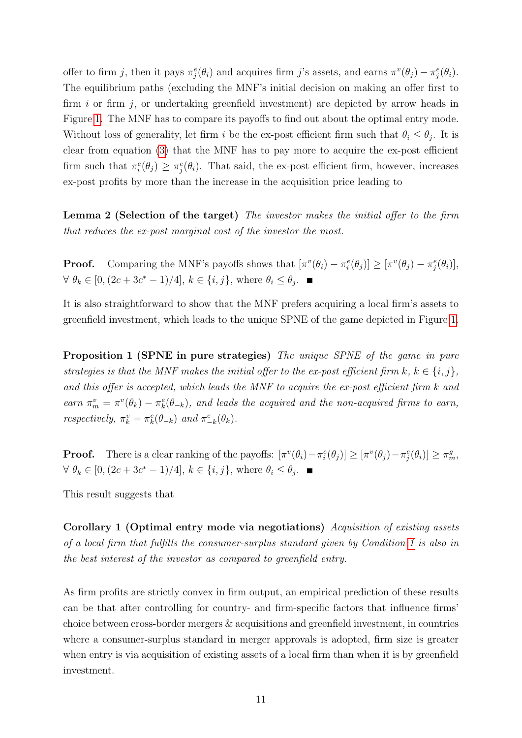offer to firm j, then it pays  $\pi_j^e(\theta_i)$  and acquires firm j's assets, and earns  $\pi^v(\theta_j) - \pi_j^e(\theta_i)$ . The equilibrium paths (excluding the MNF's initial decision on making an offer first to firm  $i$  or firm  $j$ , or undertaking greenfield investment) are depicted by arrow heads in Figure  $\boxed{1}$ . The MNF has to compare its payoffs to find out about the optimal entry mode. Without loss of generality, let firm i be the ex-post efficient firm such that  $\theta_i \leq \theta_j$ . It is clear from equation  $\sqrt{3}$  that the MNF has to pay more to acquire the ex-post efficient firm such that  $\pi_i^e(\theta_j) \geq \pi_j^e(\theta_i)$ . That said, the ex-post efficient firm, however, increases ex-post profits by more than the increase in the acquisition price leading to

Lemma 2 (Selection of the target) The investor makes the initial offer to the firm that reduces the ex-post marginal cost of the investor the most.

**Proof.** Comparing the MNF's payoffs shows that  $[\pi^v(\theta_i) - \pi_i^e(\theta_j)] \geq [\pi^v(\theta_j) - \pi_j^e(\theta_i)],$  $\forall \ \theta_k \in [0, (2c+3c^*-1)/4], k \in \{i, j\}, \text{ where } \theta_i \leq \theta_j.$ 

It is also straightforward to show that the MNF prefers acquiring a local firm's assets to greenfield investment, which leads to the unique SPNE of the game depicted in Figure  $\boxed{1}$ .

Proposition 1 (SPNE in pure strategies) The unique SPNE of the game in pure strategies is that the MNF makes the initial offer to the ex-post efficient firm  $k, k \in \{i, j\},\$ and this offer is accepted, which leads the MNF to acquire the ex-post efficient firm k and earn  $\pi_m^v = \pi^v(\theta_k) - \pi_k^e(\theta_{-k})$ , and leads the acquired and the non-acquired firms to earn, respectively,  $\pi_k^v = \pi_k^e(\theta_{-k})$  and  $\pi_{-k}^e(\theta_k)$ .

**Proof.** There is a clear ranking of the payoffs:  $[\pi^v(\theta_i) - \pi^e(\theta_j)] \geq [\pi^v(\theta_j) - \pi^e_j(\theta_i)] \geq \pi^g_m$ ,  $\forall \ \theta_k \in [0, (2c+3c^*-1)/4], k \in \{i, j\}, \text{ where } \theta_i \leq \theta_j.$ 

This result suggests that

Corollary 1 (Optimal entry mode via negotiations) Acquisition of existing assets of a local firm that fulfills the consumer-surplus standard given by Condition  $\overline{1}$  is also in the best interest of the investor as compared to greenfield entry.

As firm profits are strictly convex in firm output, an empirical prediction of these results can be that after controlling for country- and firm-specific factors that influence firms' choice between cross-border mergers & acquisitions and greenfield investment, in countries where a consumer-surplus standard in merger approvals is adopted, firm size is greater when entry is via acquisition of existing assets of a local firm than when it is by greenfield investment.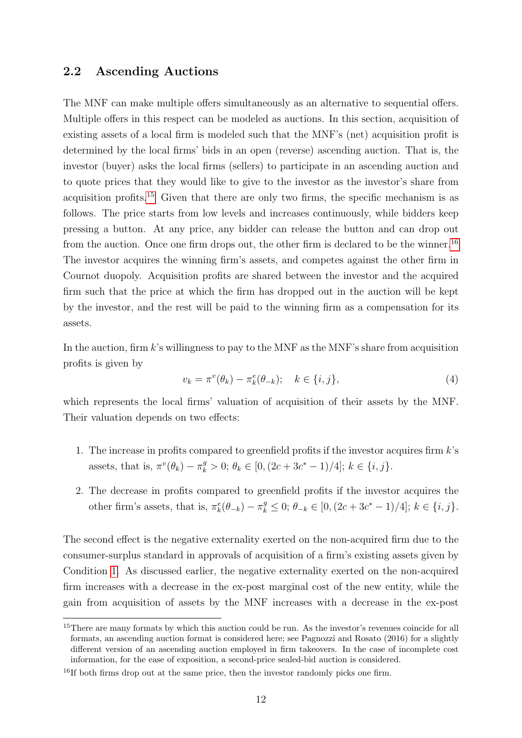### 2.2 Ascending Auctions

The MNF can make multiple offers simultaneously as an alternative to sequential offers. Multiple offers in this respect can be modeled as auctions. In this section, acquisition of existing assets of a local firm is modeled such that the MNF's (net) acquisition profit is determined by the local firms' bids in an open (reverse) ascending auction. That is, the investor (buyer) asks the local firms (sellers) to participate in an ascending auction and to quote prices that they would like to give to the investor as the investor's share from acquisition profits.<sup>15</sup> Given that there are only two firms, the specific mechanism is as follows. The price starts from low levels and increases continuously, while bidders keep pressing a button. At any price, any bidder can release the button and can drop out from the auction. Once one firm drops out, the other firm is declared to be the winner.<sup>[16]</sup> The investor acquires the winning firm's assets, and competes against the other firm in Cournot duopoly. Acquisition profits are shared between the investor and the acquired firm such that the price at which the firm has dropped out in the auction will be kept by the investor, and the rest will be paid to the winning firm as a compensation for its assets.

In the auction, firm k's willingness to pay to the MNF as the MNF's share from acquisition profits is given by

$$
v_k = \pi^v(\theta_k) - \pi_k^e(\theta_{-k}); \quad k \in \{i, j\},\tag{4}
$$

which represents the local firms' valuation of acquisition of their assets by the MNF. Their valuation depends on two effects:

- 1. The increase in profits compared to greenfield profits if the investor acquires firm  $k$ 's assets, that is,  $\pi^v(\theta_k) - \pi_k^g > 0$ ;  $\theta_k \in [0, (2c + 3c^* - 1)/4]$ ;  $k \in \{i, j\}$ .
- 2. The decrease in profits compared to greenfield profits if the investor acquires the other firm's assets, that is,  $\pi_k^e(\theta_{-k}) - \pi_k^g \leq 0$ ;  $\theta_{-k} \in [0, (2c + 3c^* - 1)/4]$ ;  $k \in \{i, j\}$ .

The second effect is the negative externality exerted on the non-acquired firm due to the consumer-surplus standard in approvals of acquisition of a firm's existing assets given by Condition  $\overline{1}$ . As discussed earlier, the negative externality exerted on the non-acquired firm increases with a decrease in the ex-post marginal cost of the new entity, while the gain from acquisition of assets by the MNF increases with a decrease in the ex-post

<sup>&</sup>lt;sup>15</sup>There are many formats by which this auction could be run. As the investor's revenues coincide for all formats, an ascending auction format is considered here; see Pagnozzi and Rosato (2016) for a slightly different version of an ascending auction employed in firm takeovers. In the case of incomplete cost information, for the ease of exposition, a second-price sealed-bid auction is considered.

<sup>&</sup>lt;sup>16</sup>If both firms drop out at the same price, then the investor randomly picks one firm.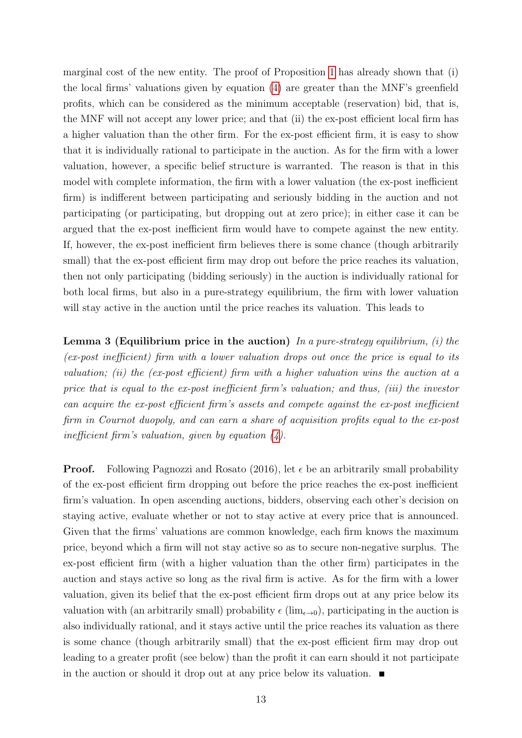marginal cost of the new entity. The proof of Proposition  $\overline{1}$  has already shown that (i) the local firms' valuations given by equation  $(4)$  are greater than the MNF's greenfield profits, which can be considered as the minimum acceptable (reservation) bid, that is, the MNF will not accept any lower price; and that (ii) the ex-post efficient local firm has a higher valuation than the other firm. For the ex-post efficient firm, it is easy to show that it is individually rational to participate in the auction. As for the firm with a lower valuation, however, a specific belief structure is warranted. The reason is that in this model with complete information, the firm with a lower valuation (the ex-post inefficient firm) is indifferent between participating and seriously bidding in the auction and not participating (or participating, but dropping out at zero price); in either case it can be argued that the ex-post inefficient firm would have to compete against the new entity. If, however, the ex-post inefficient firm believes there is some chance (though arbitrarily small) that the ex-post efficient firm may drop out before the price reaches its valuation, then not only participating (bidding seriously) in the auction is individually rational for both local firms, but also in a pure-strategy equilibrium, the firm with lower valuation will stay active in the auction until the price reaches its valuation. This leads to

**Lemma 3 (Equilibrium price in the auction)** In a pure-strategy equilibrium, (i) the (ex-post inefficient) firm with a lower valuation drops out once the price is equal to its valuation; (ii) the (ex-post efficient) firm with a higher valuation wins the auction at a price that is equal to the ex-post inefficient firm's valuation; and thus, (iii) the investor can acquire the ex-post efficient firm's assets and compete against the ex-post inefficient firm in Cournot duopoly, and can earn a share of acquisition profits equal to the ex-post inefficient firm's valuation, given by equation  $\mathcal{A}$ ).

**Proof.** Following Pagnozzi and Rosato (2016), let  $\epsilon$  be an arbitrarily small probability of the ex-post efficient firm dropping out before the price reaches the ex-post inefficient firm's valuation. In open ascending auctions, bidders, observing each other's decision on staying active, evaluate whether or not to stay active at every price that is announced. Given that the firms' valuations are common knowledge, each firm knows the maximum price, beyond which a firm will not stay active so as to secure non-negative surplus. The ex-post efficient firm (with a higher valuation than the other firm) participates in the auction and stays active so long as the rival firm is active. As for the firm with a lower valuation, given its belief that the ex-post efficient firm drops out at any price below its valuation with (an arbitrarily small) probability  $\epsilon$  (lim<sub> $\epsilon \to 0$ </sub>), participating in the auction is also individually rational, and it stays active until the price reaches its valuation as there is some chance (though arbitrarily small) that the ex-post efficient firm may drop out leading to a greater profit (see below) than the profit it can earn should it not participate in the auction or should it drop out at any price below its valuation.  $\blacksquare$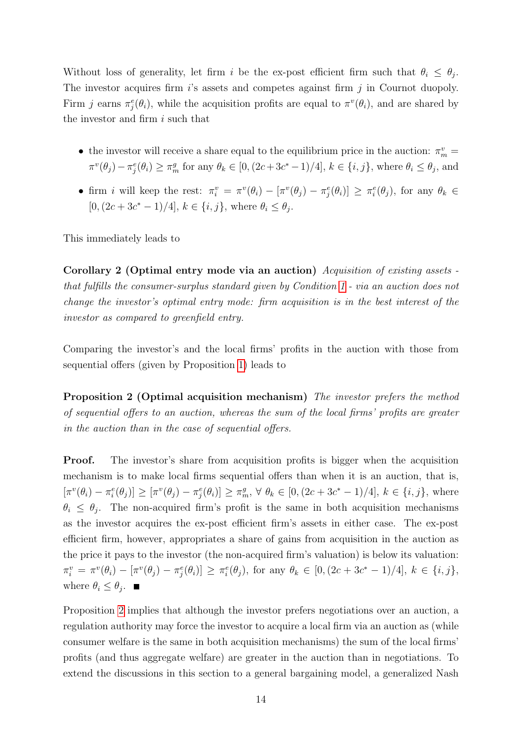Without loss of generality, let firm i be the ex-post efficient firm such that  $\theta_i \leq \theta_j$ . The investor acquires firm  $i$ 's assets and competes against firm  $j$  in Cournot duopoly. Firm j earns  $\pi_j^e(\theta_i)$ , while the acquisition profits are equal to  $\pi^v(\theta_i)$ , and are shared by the investor and firm i such that

- the investor will receive a share equal to the equilibrium price in the auction:  $\pi_m^v =$  $\pi^v(\theta_j) - \pi_j^e(\theta_i) \ge \pi_m^g$  for any  $\theta_k \in [0, (2c+3c^*-1)/4], k \in \{i, j\}$ , where  $\theta_i \le \theta_j$ , and
- firm i will keep the rest:  $\pi_i^v = \pi^v(\theta_i) [\pi^v(\theta_j) \pi_j^e(\theta_i)] \geq \pi_i^e(\theta_j)$ , for any  $\theta_k \in$  $[0,(2c+3c^*-1)/4], k \in \{i,j\}, \text{ where } \theta_i \leq \theta_j.$

This immediately leads to

Corollary 2 (Optimal entry mode via an auction) Acquisition of existing assets that fulfills the consumer-surplus standard given by Condition  $\boxed{1}$  - via an auction does not change the investor's optimal entry mode: firm acquisition is in the best interest of the investor as compared to greenfield entry.

Comparing the investor's and the local firms' profits in the auction with those from sequential offers (given by Proposition 1) leads to

Proposition 2 (Optimal acquisition mechanism) The investor prefers the method of sequential offers to an auction, whereas the sum of the local firms' profits are greater in the auction than in the case of sequential offers.

Proof. The investor's share from acquisition profits is bigger when the acquisition mechanism is to make local firms sequential offers than when it is an auction, that is,  $[\pi^v(\theta_i) - \pi_i^e(\theta_j)] \geq [\pi^v(\theta_j) - \pi_j^e(\theta_i)] \geq \pi_m^g$ ,  $\forall \theta_k \in [0, (2c + 3c^* - 1)/4]$ ,  $k \in \{i, j\}$ , where  $\theta_i \leq \theta_j$ . The non-acquired firm's profit is the same in both acquisition mechanisms as the investor acquires the ex-post efficient firm's assets in either case. The ex-post efficient firm, however, appropriates a share of gains from acquisition in the auction as the price it pays to the investor (the non-acquired firm's valuation) is below its valuation:  $\pi_i^v = \pi^v(\theta_i) - [\pi^v(\theta_j) - \pi_j^e(\theta_i)] \ge \pi_i^e(\theta_j)$ , for any  $\theta_k \in [0, (2c + 3c^* - 1)/4]$ ,  $k \in \{i, j\}$ , where  $\theta_i \leq \theta_j$ .

Proposition  $\overline{2}$  implies that although the investor prefers negotiations over an auction, a regulation authority may force the investor to acquire a local firm via an auction as (while consumer welfare is the same in both acquisition mechanisms) the sum of the local firms' profits (and thus aggregate welfare) are greater in the auction than in negotiations. To extend the discussions in this section to a general bargaining model, a generalized Nash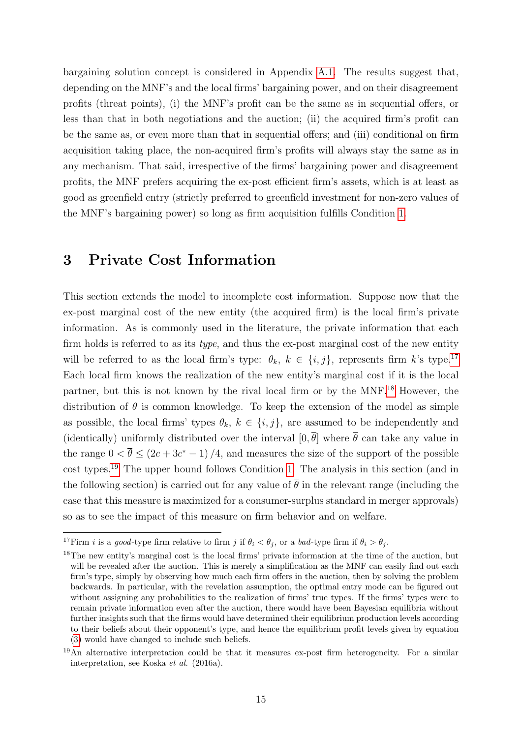bargaining solution concept is considered in Appendix  $\overline{A.1}$ . The results suggest that, depending on the MNF's and the local firms' bargaining power, and on their disagreement profits (threat points), (i) the MNF's profit can be the same as in sequential offers, or less than that in both negotiations and the auction; (ii) the acquired firm's profit can be the same as, or even more than that in sequential offers; and (iii) conditional on firm acquisition taking place, the non-acquired firm's profits will always stay the same as in any mechanism. That said, irrespective of the firms' bargaining power and disagreement profits, the MNF prefers acquiring the ex-post efficient firm's assets, which is at least as good as greenfield entry (strictly preferred to greenfield investment for non-zero values of the MNF's bargaining power) so long as firm acquisition fulfills Condition  $|1|$ .

# 3 Private Cost Information

This section extends the model to incomplete cost information. Suppose now that the ex-post marginal cost of the new entity (the acquired firm) is the local firm's private information. As is commonly used in the literature, the private information that each firm holds is referred to as its *type*, and thus the ex-post marginal cost of the new entity will be referred to as the local firm's type:  $\theta_k$ ,  $k \in \{i, j\}$ , represents firm k's type.<sup>[17]</sup> Each local firm knows the realization of the new entity's marginal cost if it is the local partner, but this is not known by the rival local firm or by the  $MNF<sup>[3]</sup>$  However, the distribution of  $\theta$  is common knowledge. To keep the extension of the model as simple as possible, the local firms' types  $\theta_k$ ,  $k \in \{i, j\}$ , are assumed to be independently and (identically) uniformly distributed over the interval  $[0, \bar{\theta}]$  where  $\bar{\theta}$  can take any value in the range  $0 < \bar{\theta} \le (2c + 3c^* - 1)/4$ , and measures the size of the support of the possible cost types.<sup>19</sup> The upper bound follows Condition  $\boxed{1}$ . The analysis in this section (and in the following section) is carried out for any value of  $\bar{\theta}$  in the relevant range (including the case that this measure is maximized for a consumer-surplus standard in merger approvals) so as to see the impact of this measure on firm behavior and on welfare.

<sup>&</sup>lt;sup>17</sup>Firm *i* is a good-type firm relative to firm *j* if  $\theta_i < \theta_j$ , or a bad-type firm if  $\theta_i > \theta_j$ .

<sup>18</sup>The new entity's marginal cost is the local firms' private information at the time of the auction, but will be revealed after the auction. This is merely a simplification as the MNF can easily find out each firm's type, simply by observing how much each firm offers in the auction, then by solving the problem backwards. In particular, with the revelation assumption, the optimal entry mode can be figured out without assigning any probabilities to the realization of firms' true types. If the firms' types were to remain private information even after the auction, there would have been Bayesian equilibria without further insights such that the firms would have determined their equilibrium production levels according to their beliefs about their opponent's type, and hence the equilibrium profit levels given by equation (3) would have changed to include such beliefs.

<sup>19</sup>An alternative interpretation could be that it measures ex-post firm heterogeneity. For a similar interpretation, see Koska et al. (2016a).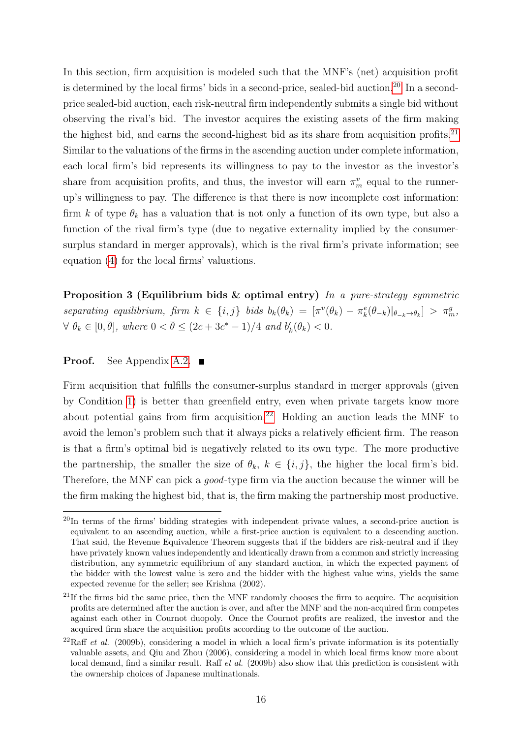In this section, firm acquisition is modeled such that the MNF's (net) acquisition profit is determined by the local firms' bids in a second-price, sealed-bid auction.<sup>20</sup> In a secondprice sealed-bid auction, each risk-neutral firm independently submits a single bid without observing the rival's bid. The investor acquires the existing assets of the firm making the highest bid, and earns the second-highest bid as its share from acquisition profits.<sup>[21]</sup> Similar to the valuations of the firms in the ascending auction under complete information, each local firm's bid represents its willingness to pay to the investor as the investor's share from acquisition profits, and thus, the investor will earn  $\pi_m^v$  equal to the runnerup's willingness to pay. The difference is that there is now incomplete cost information: firm k of type  $\theta_k$  has a valuation that is not only a function of its own type, but also a function of the rival firm's type (due to negative externality implied by the consumersurplus standard in merger approvals), which is the rival firm's private information; see equation (4) for the local firms' valuations.

Proposition 3 (Equilibrium bids & optimal entry) In a pure-strategy symmetric separating equilibrium, firm  $k \in \{i, j\}$  bids  $b_k(\theta_k) = [\pi^v(\theta_k) - \pi^e_k(\theta_{-k}) |_{\theta_{-k} \to \theta_k}] > \pi^g_m$ ,  $\forall \ \theta_k \in [0, \overline{\theta}], \ where \ 0 < \overline{\theta} \leq (2c + 3c^* - 1)/4 \ and \ b'_k(\theta_k) < 0.$ 

#### **Proof.** See Appendix  $|A.2|$

Firm acquisition that fulfills the consumer-surplus standard in merger approvals (given by Condition  $\vert \mathbf{1} \vert$  is better than greenfield entry, even when private targets know more about potential gains from firm acquisition.<sup>22</sup> Holding an auction leads the MNF to avoid the lemon's problem such that it always picks a relatively efficient firm. The reason is that a firm's optimal bid is negatively related to its own type. The more productive the partnership, the smaller the size of  $\theta_k$ ,  $k \in \{i, j\}$ , the higher the local firm's bid. Therefore, the MNF can pick a good-type firm via the auction because the winner will be the firm making the highest bid, that is, the firm making the partnership most productive.

<sup>&</sup>lt;sup>20</sup>In terms of the firms' bidding strategies with independent private values, a second-price auction is equivalent to an ascending auction, while a first-price auction is equivalent to a descending auction. That said, the Revenue Equivalence Theorem suggests that if the bidders are risk-neutral and if they have privately known values independently and identically drawn from a common and strictly increasing distribution, any symmetric equilibrium of any standard auction, in which the expected payment of the bidder with the lowest value is zero and the bidder with the highest value wins, yields the same expected revenue for the seller; see Krishna (2002).

<sup>&</sup>lt;sup>21</sup>If the firms bid the same price, then the MNF randomly chooses the firm to acquire. The acquisition profits are determined after the auction is over, and after the MNF and the non-acquired firm competes against each other in Cournot duopoly. Once the Cournot profits are realized, the investor and the acquired firm share the acquisition profits according to the outcome of the auction.

 $^{22}$ Raff *et al.* (2009b), considering a model in which a local firm's private information is its potentially valuable assets, and Qiu and Zhou (2006), considering a model in which local firms know more about local demand, find a similar result. Raff *et al.* (2009b) also show that this prediction is consistent with the ownership choices of Japanese multinationals.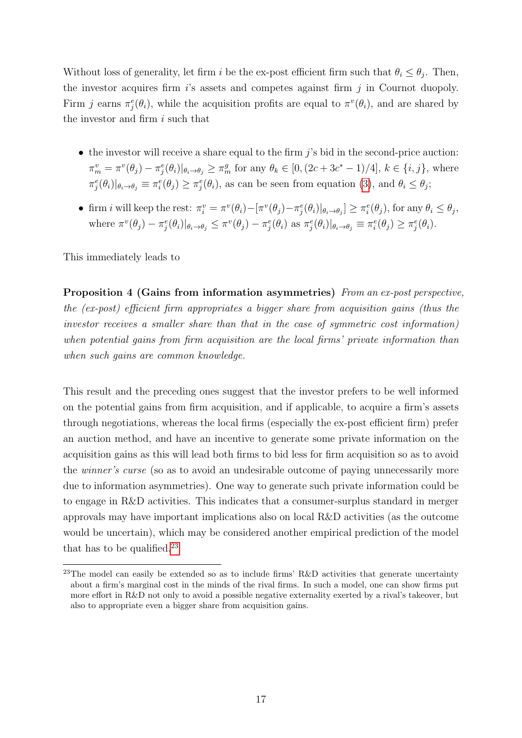Without loss of generality, let firm i be the ex-post efficient firm such that  $\theta_i \leq \theta_j$ . Then, the investor acquires firm  $i$ 's assets and competes against firm  $j$  in Cournot duopoly. Firm j earns  $\pi_j^e(\theta_i)$ , while the acquisition profits are equal to  $\pi^v(\theta_i)$ , and are shared by the investor and firm i such that

- $\bullet$  the investor will receive a share equal to the firm  $j$ 's bid in the second-price auction:  $\pi_m^v = \pi^v(\theta_j) - \pi_j^e(\theta_i)|_{\theta_i \to \theta_j} \geq \pi_m^g$  for any  $\theta_k \in [0, (2c + 3c^* - 1)/4], k \in \{i, j\}$ , where  $\pi_j^e(\theta_i)|_{\theta_i \to \theta_j} \equiv \pi_i^e(\theta_j) \geq \pi_j^e(\theta_i)$ , as can be seen from equation  $\boxed{3}$ , and  $\theta_i \leq \theta_j$ ;
- firm *i* will keep the rest:  $\pi_i^v = \pi^v(\theta_i) [\pi^v(\theta_j) \pi_j^e(\theta_i)|_{\theta_i \to \theta_j}] \geq \pi_i^e(\theta_j)$ , for any  $\theta_i \leq \theta_j$ , where  $\pi^v(\theta_j) - \pi_j^e(\theta_i)|_{\theta_i \to \theta_j} \leq \pi^v(\theta_j) - \pi_j^e(\theta_i)$  as  $\pi_j^e(\theta_i)|_{\theta_i \to \theta_j} \equiv \pi_i^e(\theta_j) \geq \pi_j^e(\theta_i)$ .

This immediately leads to

Proposition 4 (Gains from information asymmetries) From an ex-post perspective, the (ex-post) efficient firm appropriates a bigger share from acquisition gains (thus the investor receives a smaller share than that in the case of symmetric cost information) when potential gains from firm acquisition are the local firms' private information than when such gains are common knowledge.

This result and the preceding ones suggest that the investor prefers to be well informed on the potential gains from firm acquisition, and if applicable, to acquire a firm's assets through negotiations, whereas the local firms (especially the ex-post efficient firm) prefer an auction method, and have an incentive to generate some private information on the acquisition gains as this will lead both firms to bid less for firm acquisition so as to avoid the winner's curse (so as to avoid an undesirable outcome of paying unnecessarily more due to information asymmetries). One way to generate such private information could be to engage in R&D activities. This indicates that a consumer-surplus standard in merger approvals may have important implications also on local R&D activities (as the outcome would be uncertain), which may be considered another empirical prediction of the model that has to be qualified. $\sqrt{23}$ 

<sup>&</sup>lt;sup>23</sup>The model can easily be extended so as to include firms' R&D activities that generate uncertainty about a firm's marginal cost in the minds of the rival firms. In such a model, one can show firms put more effort in R&D not only to avoid a possible negative externality exerted by a rival's takeover, but also to appropriate even a bigger share from acquisition gains.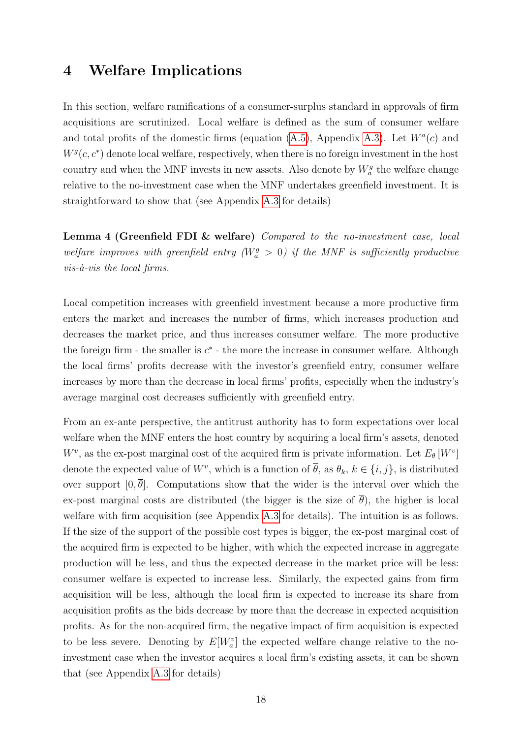### 4 Welfare Implications

In this section, welfare ramifications of a consumer-surplus standard in approvals of firm acquisitions are scrutinized. Local welfare is defined as the sum of consumer welfare and total profits of the domestic firms (equation  $(A.5)$ ), Appendix  $(A.3)$ . Let  $W^a(c)$  and  $W<sup>g</sup>(c, c<sup>*</sup>)$  denote local welfare, respectively, when there is no foreign investment in the host country and when the MNF invests in new assets. Also denote by  $W_a^g$  the welfare change relative to the no-investment case when the MNF undertakes greenfield investment. It is straightforward to show that (see Appendix  $A.3$  for details)

Lemma 4 (Greenfield FDI & welfare) Compared to the no-investment case, local welfare improves with greenfield entry ( $W_a^g > 0$ ) if the MNF is sufficiently productive  $vis-\hat{a}-vis$  the local firms.

Local competition increases with greenfield investment because a more productive firm enters the market and increases the number of firms, which increases production and decreases the market price, and thus increases consumer welfare. The more productive the foreign firm - the smaller is  $c^*$  - the more the increase in consumer welfare. Although the local firms' profits decrease with the investor's greenfield entry, consumer welfare increases by more than the decrease in local firms' profits, especially when the industry's average marginal cost decreases sufficiently with greenfield entry.

From an ex-ante perspective, the antitrust authority has to form expectations over local welfare when the MNF enters the host country by acquiring a local firm's assets, denoted  $W^v$ , as the ex-post marginal cost of the acquired firm is private information. Let  $E_{\theta}[W^v]$ denote the expected value of  $W^v$ , which is a function of  $\overline{\theta}$ , as  $\theta_k$ ,  $k \in \{i, j\}$ , is distributed over support  $[0, \overline{\theta}]$ . Computations show that the wider is the interval over which the ex-post marginal costs are distributed (the bigger is the size of  $\bar{\theta}$ ), the higher is local welfare with firm acquisition (see Appendix  $\overline{A.3}$  for details). The intuition is as follows. If the size of the support of the possible cost types is bigger, the ex-post marginal cost of the acquired firm is expected to be higher, with which the expected increase in aggregate production will be less, and thus the expected decrease in the market price will be less: consumer welfare is expected to increase less. Similarly, the expected gains from firm acquisition will be less, although the local firm is expected to increase its share from acquisition profits as the bids decrease by more than the decrease in expected acquisition profits. As for the non-acquired firm, the negative impact of firm acquisition is expected to be less severe. Denoting by  $E[W_a^v]$  the expected welfare change relative to the noinvestment case when the investor acquires a local firm's existing assets, it can be shown that (see Appendix  $A.3$  for details)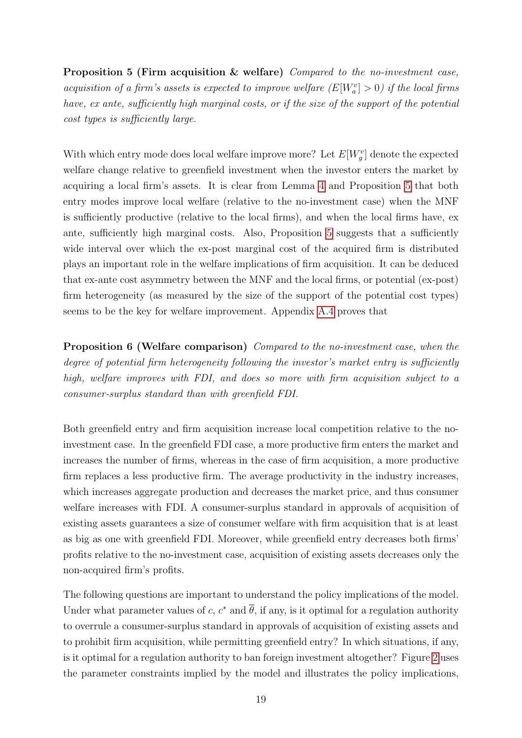Proposition 5 (Firm acquisition & welfare) Compared to the no-investment case, acquisition of a firm's assets is expected to improve welfare  $(E[W_a^v] > 0)$  if the local firms have, ex ante, sufficiently high marginal costs, or if the size of the support of the potential cost types is sufficiently large.

With which entry mode does local welfare improve more? Let  $E[W_g^v]$  denote the expected welfare change relative to greenfield investment when the investor enters the market by acquiring a local firm's assets. It is clear from Lemma  $\frac{1}{4}$  and Proposition  $\frac{1}{5}$  that both entry modes improve local welfare (relative to the no-investment case) when the MNF is sufficiently productive (relative to the local firms), and when the local firms have, ex ante, sufficiently high marginal costs. Also, Proposition 5 suggests that a sufficiently wide interval over which the ex-post marginal cost of the acquired firm is distributed plays an important role in the welfare implications of firm acquisition. It can be deduced that ex-ante cost asymmetry between the MNF and the local firms, or potential (ex-post) firm heterogeneity (as measured by the size of the support of the potential cost types) seems to be the key for welfare improvement. Appendix  $\overline{A \cdot 4}$  proves that

Proposition 6 (Welfare comparison) Compared to the no-investment case, when the degree of potential firm heterogeneity following the investor's market entry is sufficiently high, welfare improves with FDI, and does so more with firm acquisition subject to a consumer-surplus standard than with greenfield FDI.

Both greenfield entry and firm acquisition increase local competition relative to the noinvestment case. In the greenfield FDI case, a more productive firm enters the market and increases the number of firms, whereas in the case of firm acquisition, a more productive firm replaces a less productive firm. The average productivity in the industry increases, which increases aggregate production and decreases the market price, and thus consumer welfare increases with FDI. A consumer-surplus standard in approvals of acquisition of existing assets guarantees a size of consumer welfare with firm acquisition that is at least as big as one with greenfield FDI. Moreover, while greenfield entry decreases both firms' profits relative to the no-investment case, acquisition of existing assets decreases only the non-acquired firm's profits.

The following questions are important to understand the policy implications of the model. Under what parameter values of c,  $c^*$  and  $\overline{\theta}$ , if any, is it optimal for a regulation authority to overrule a consumer-surplus standard in approvals of acquisition of existing assets and to prohibit firm acquisition, while permitting greenfield entry? In which situations, if any, is it optimal for a regulation authority to ban foreign investment altogether? Figure  $\sqrt{2}$  uses the parameter constraints implied by the model and illustrates the policy implications,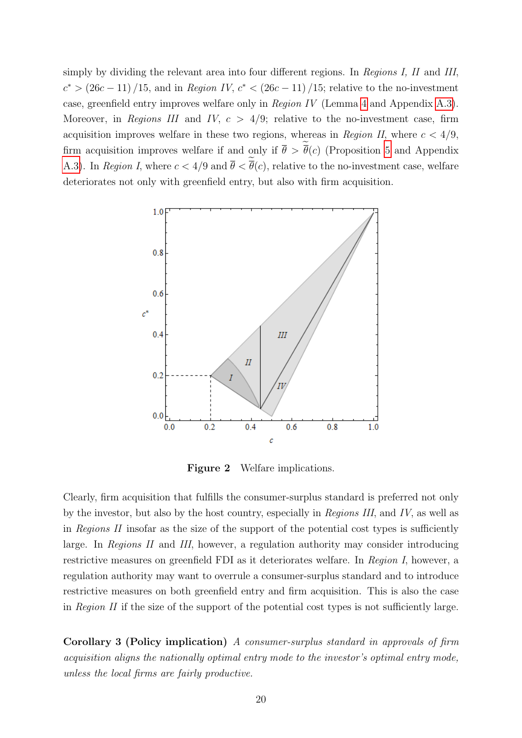simply by dividing the relevant area into four different regions. In Regions I, II and III,  $c^*$  >  $(26c - 11) / 15$ , and in Region IV,  $c^*$  <  $(26c - 11) / 15$ ; relative to the no-investment case, greenfield entry improves welfare only in Region IV (Lemma  $\overline{4}$  and Appendix  $\overline{A.3}$ ). Moreover, in Regions III and IV,  $c > 4/9$ ; relative to the no-investment case, firm acquisition improves welfare in these two regions, whereas in Region II, where  $c < 4/9$ , firm acquisition improves welfare if and only if  $\theta > \theta(c)$  (Proposition 5 and Appendix A.3. In Region I, where  $c < 4/9$  and  $\theta < \theta(c)$ , relative to the no-investment case, welfare deteriorates not only with greenfield entry, but also with firm acquisition.



Figure 2 Welfare implications.

Clearly, firm acquisition that fulfills the consumer-surplus standard is preferred not only by the investor, but also by the host country, especially in Regions III, and IV, as well as in Regions II insofar as the size of the support of the potential cost types is sufficiently large. In Regions II and III, however, a regulation authority may consider introducing restrictive measures on greenfield FDI as it deteriorates welfare. In Region I, however, a regulation authority may want to overrule a consumer-surplus standard and to introduce restrictive measures on both greenfield entry and firm acquisition. This is also the case in Region II if the size of the support of the potential cost types is not sufficiently large.

Corollary 3 (Policy implication) A consumer-surplus standard in approvals of firm acquisition aligns the nationally optimal entry mode to the investor's optimal entry mode, unless the local firms are fairly productive.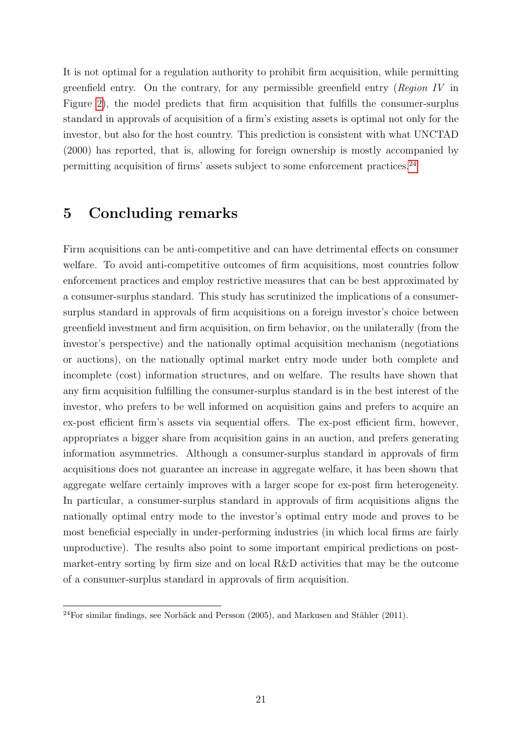It is not optimal for a regulation authority to prohibit firm acquisition, while permitting greenfield entry. On the contrary, for any permissible greenfield entry (Region IV in Figure  $\overline{2}$ , the model predicts that firm acquisition that fulfills the consumer-surplus standard in approvals of acquisition of a firm's existing assets is optimal not only for the investor, but also for the host country. This prediction is consistent with what UNCTAD (2000) has reported, that is, allowing for foreign ownership is mostly accompanied by permitting acquisition of firms' assets subject to some enforcement practices. $\sqrt{24}$ 

## 5 Concluding remarks

Firm acquisitions can be anti-competitive and can have detrimental effects on consumer welfare. To avoid anti-competitive outcomes of firm acquisitions, most countries follow enforcement practices and employ restrictive measures that can be best approximated by a consumer-surplus standard. This study has scrutinized the implications of a consumersurplus standard in approvals of firm acquisitions on a foreign investor's choice between greenfield investment and firm acquisition, on firm behavior, on the unilaterally (from the investor's perspective) and the nationally optimal acquisition mechanism (negotiations or auctions), on the nationally optimal market entry mode under both complete and incomplete (cost) information structures, and on welfare. The results have shown that any firm acquisition fulfilling the consumer-surplus standard is in the best interest of the investor, who prefers to be well informed on acquisition gains and prefers to acquire an ex-post efficient firm's assets via sequential offers. The ex-post efficient firm, however, appropriates a bigger share from acquisition gains in an auction, and prefers generating information asymmetries. Although a consumer-surplus standard in approvals of firm acquisitions does not guarantee an increase in aggregate welfare, it has been shown that aggregate welfare certainly improves with a larger scope for ex-post firm heterogeneity. In particular, a consumer-surplus standard in approvals of firm acquisitions aligns the nationally optimal entry mode to the investor's optimal entry mode and proves to be most beneficial especially in under-performing industries (in which local firms are fairly unproductive). The results also point to some important empirical predictions on postmarket-entry sorting by firm size and on local R&D activities that may be the outcome of a consumer-surplus standard in approvals of firm acquisition.

 $24$ For similar findings, see Norbäck and Persson (2005), and Markusen and Stähler (2011).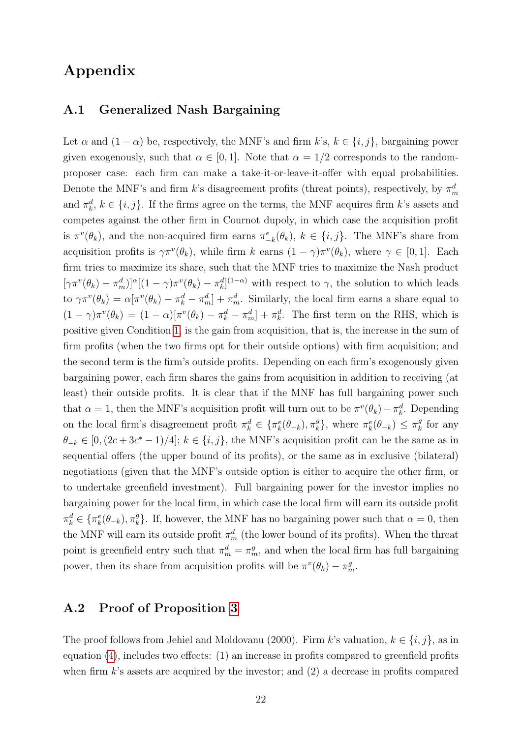## Appendix

### A.1 Generalized Nash Bargaining

Let  $\alpha$  and  $(1 - \alpha)$  be, respectively, the MNF's and firm k's,  $k \in \{i, j\}$ , bargaining power given exogenously, such that  $\alpha \in [0, 1]$ . Note that  $\alpha = 1/2$  corresponds to the randomproposer case: each firm can make a take-it-or-leave-it-offer with equal probabilities. Denote the MNF's and firm k's disagreement profits (threat points), respectively, by  $\pi_m^d$ and  $\pi_k^d$ ,  $k \in \{i, j\}$ . If the firms agree on the terms, the MNF acquires firm k's assets and competes against the other firm in Cournot dupoly, in which case the acquisition profit is  $\pi^v(\theta_k)$ , and the non-acquired firm earns  $\pi^e_{-k}(\theta_k)$ ,  $k \in \{i, j\}$ . The MNF's share from acquisition profits is  $\gamma \pi^v(\theta_k)$ , while firm k earns  $(1 - \gamma) \pi^v(\theta_k)$ , where  $\gamma \in [0, 1]$ . Each firm tries to maximize its share, such that the MNF tries to maximize the Nash product  $[\gamma \pi^v(\theta_k) - \pi_m^d]$ <sup> $\alpha$ </sup> $[(1 - \gamma) \pi^v(\theta_k) - \pi_k^d]^{(1-\alpha)}$  with respect to  $\gamma$ , the solution to which leads to  $\gamma \pi^v(\theta_k) = \alpha[\pi^v(\theta_k) - \pi_k^d - \pi_m^d] + \pi_m^d$ . Similarly, the local firm earns a share equal to  $(1 - \gamma)\pi^v(\theta_k) = (1 - \alpha)[\pi^v(\theta_k) - \pi_k^d - \pi_m^d] + \pi_k^d$ . The first term on the RHS, which is positive given Condition  $\overline{1}$ , is the gain from acquisition, that is, the increase in the sum of firm profits (when the two firms opt for their outside options) with firm acquisition; and the second term is the firm's outside profits. Depending on each firm's exogenously given bargaining power, each firm shares the gains from acquisition in addition to receiving (at least) their outside profits. It is clear that if the MNF has full bargaining power such that  $\alpha = 1$ , then the MNF's acquisition profit will turn out to be  $\pi^v(\theta_k) - \pi_k^d$ . Depending on the local firm's disagreement profit  $\pi_k^d \in \{\pi_k^e(\theta_{-k}), \pi_k^g\}$  $_{k}^{g}$ , where  $\pi_{k}^{e}(\theta_{-k}) \leq \pi_{k}^{g}$  $\frac{g}{k}$  for any  $\theta_{-k} \in [0, (2c+3c^*-1)/4]$ ;  $k \in \{i, j\}$ , the MNF's acquisition profit can be the same as in sequential offers (the upper bound of its profits), or the same as in exclusive (bilateral) negotiations (given that the MNF's outside option is either to acquire the other firm, or to undertake greenfield investment). Full bargaining power for the investor implies no bargaining power for the local firm, in which case the local firm will earn its outside profit  $\pi_k^d \in \{\pi_k^e(\theta_{-k}), \pi_k^g\}$  $_{k}^{g}$ . If, however, the MNF has no bargaining power such that  $\alpha = 0$ , then the MNF will earn its outside profit  $\pi_m^d$  (the lower bound of its profits). When the threat point is greenfield entry such that  $\pi_m^d = \pi_m^g$ , and when the local firm has full bargaining power, then its share from acquisition profits will be  $\pi^v(\theta_k) - \pi_m^g$ .

### A.2 Proof of Proposition 3

The proof follows from Jehiel and Moldovanu (2000). Firm k's valuation,  $k \in \{i, j\}$ , as in equation  $(4)$ , includes two effects: (1) an increase in profits compared to greenfield profits when firm  $k$ 's assets are acquired by the investor; and  $(2)$  a decrease in profits compared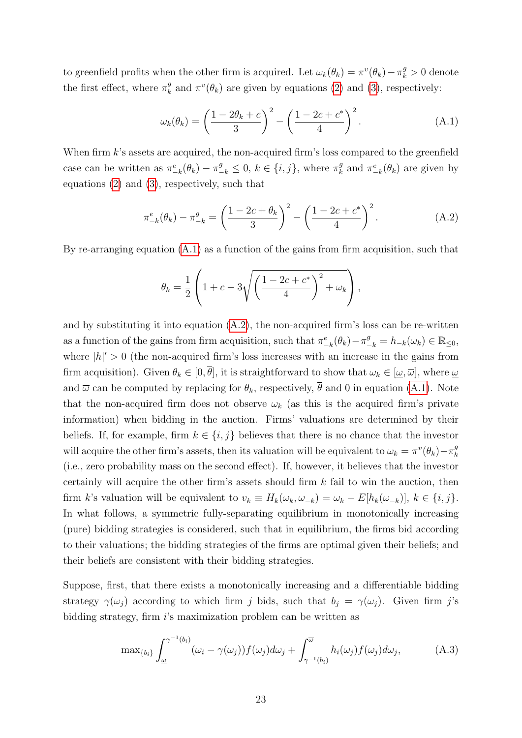to greenfield profits when the other firm is acquired. Let  $\omega_k(\theta_k) = \pi^v(\theta_k) - \pi^g_k > 0$  denote the first effect, where  $\pi_k^g$  $\frac{g}{k}$  and  $\pi^v(\theta_k)$  are given by equations  $(2)$  and  $(3)$ , respectively:

$$
\omega_k(\theta_k) = \left(\frac{1 - 2\theta_k + c}{3}\right)^2 - \left(\frac{1 - 2c + c^*}{4}\right)^2.
$$
\n(A.1)

When firm  $k$ 's assets are acquired, the non-acquired firm's loss compared to the greenfield case can be written as  $\pi_{-k}^e(\theta_k) - \pi_{-k}^g \leq 0, k \in \{i, j\}$ , where  $\pi_k^g$  $k^g$  and  $\pi_{-k}^e(\theta_k)$  are given by equations  $(2)$  and  $(3)$ , respectively, such that

$$
\pi_{-k}^{e}(\theta_k) - \pi_{-k}^{g} = \left(\frac{1 - 2c + \theta_k}{3}\right)^2 - \left(\frac{1 - 2c + c^*}{4}\right)^2.
$$
 (A.2)

By re-arranging equation  $(A.1)$  as a function of the gains from firm acquisition, such that

$$
\theta_k = \frac{1}{2} \left( 1 + c - 3 \sqrt{\left( \frac{1 - 2c + c^*}{4} \right)^2 + \omega_k} \right),
$$

and by substituting it into equation  $(A.2)$ , the non-acquired firm's loss can be re-written as a function of the gains from firm acquisition, such that  $\pi_{-k}^e(\theta_k) - \pi_{-k}^g = h_{-k}(\omega_k) \in \mathbb{R}_{\leq 0}$ , where  $|h|' > 0$  (the non-acquired firm's loss increases with an increase in the gains from firm acquisition). Given  $\theta_k \in [0, \overline{\theta}]$ , it is straightforward to show that  $\omega_k \in [\underline{\omega}, \overline{\omega}]$ , where  $\underline{\omega}$ and  $\overline{\omega}$  can be computed by replacing for  $\theta_k$ , respectively,  $\overline{\theta}$  and 0 in equation (A.1). Note that the non-acquired firm does not observe  $\omega_k$  (as this is the acquired firm's private information) when bidding in the auction. Firms' valuations are determined by their beliefs. If, for example, firm  $k \in \{i, j\}$  believes that there is no chance that the investor will acquire the other firm's assets, then its valuation will be equivalent to  $\omega_k = \pi^v(\theta_k) - \pi^g_k$ k (i.e., zero probability mass on the second effect). If, however, it believes that the investor certainly will acquire the other firm's assets should firm  $k$  fail to win the auction, then firm k's valuation will be equivalent to  $v_k \equiv H_k(\omega_k, \omega_{-k}) = \omega_k - E[h_k(\omega_{-k})], k \in \{i, j\}.$ In what follows, a symmetric fully-separating equilibrium in monotonically increasing (pure) bidding strategies is considered, such that in equilibrium, the firms bid according to their valuations; the bidding strategies of the firms are optimal given their beliefs; and their beliefs are consistent with their bidding strategies.

Suppose, first, that there exists a monotonically increasing and a differentiable bidding strategy  $\gamma(\omega_j)$  according to which firm j bids, such that  $b_j = \gamma(\omega_j)$ . Given firm j's bidding strategy, firm i's maximization problem can be written as

$$
\max_{\{b_i\}} \int_{\underline{\omega}}^{\gamma^{-1}(b_i)} (\omega_i - \gamma(\omega_j)) f(\omega_j) d\omega_j + \int_{\gamma^{-1}(b_i)}^{\overline{\omega}} h_i(\omega_j) f(\omega_j) d\omega_j, \tag{A.3}
$$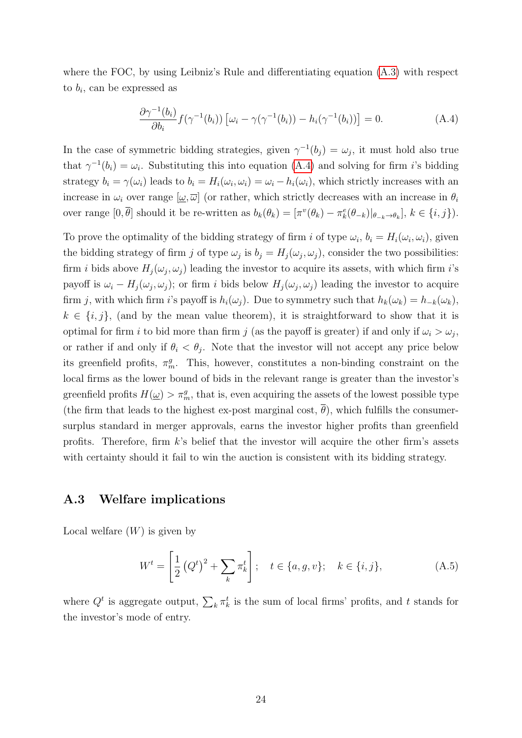where the FOC, by using Leibniz's Rule and differentiating equation  $(A.3)$  with respect to  $b_i$ , can be expressed as

$$
\frac{\partial \gamma^{-1}(b_i)}{\partial b_i} f(\gamma^{-1}(b_i)) \left[ \omega_i - \gamma(\gamma^{-1}(b_i)) - h_i(\gamma^{-1}(b_i)) \right] = 0. \tag{A.4}
$$

In the case of symmetric bidding strategies, given  $\gamma^{-1}(b_j) = \omega_j$ , it must hold also true that  $\gamma^{-1}(b_i) = \omega_i$ . Substituting this into equation  $(\overline{A.4})$  and solving for firm *i*'s bidding strategy  $b_i = \gamma(\omega_i)$  leads to  $b_i = H_i(\omega_i, \omega_i) = \omega_i - h_i(\omega_i)$ , which strictly increases with an increase in  $\omega_i$  over range  $[\omega, \overline{\omega}]$  (or rather, which strictly decreases with an increase in  $\theta_i$ over range  $[0, \overline{\theta}]$  should it be re-written as  $b_k(\theta_k) = [\pi^v(\theta_k) - \pi^e_k(\theta_{-k})|_{\theta_{-k} \to \theta_k}], k \in \{i, j\}).$ 

To prove the optimality of the bidding strategy of firm i of type  $\omega_i$ ,  $b_i = H_i(\omega_i, \omega_i)$ , given the bidding strategy of firm j of type  $\omega_j$  is  $b_j = H_j(\omega_j, \omega_j)$ , consider the two possibilities: firm *i* bids above  $H_j(\omega_j, \omega_j)$  leading the investor to acquire its assets, with which firm *i*'s payoff is  $\omega_i - H_j(\omega_j, \omega_j)$ ; or firm i bids below  $H_j(\omega_j, \omega_j)$  leading the investor to acquire firm j, with which firm i's payoff is  $h_i(\omega_j)$ . Due to symmetry such that  $h_k(\omega_k) = h_{-k}(\omega_k)$ ,  $k \in \{i, j\}$ , (and by the mean value theorem), it is straightforward to show that it is optimal for firm i to bid more than firm j (as the payoff is greater) if and only if  $\omega_i > \omega_j$ , or rather if and only if  $\theta_i < \theta_j$ . Note that the investor will not accept any price below its greenfield profits,  $\pi_m^g$ . This, however, constitutes a non-binding constraint on the local firms as the lower bound of bids in the relevant range is greater than the investor's greenfield profits  $H(\underline{\omega}) > \pi_m^g$ , that is, even acquiring the assets of the lowest possible type (the firm that leads to the highest ex-post marginal cost,  $\theta$ ), which fulfills the consumersurplus standard in merger approvals, earns the investor higher profits than greenfield profits. Therefore, firm  $k$ 's belief that the investor will acquire the other firm's assets with certainty should it fail to win the auction is consistent with its bidding strategy.

#### A.3 Welfare implications

Local welfare  $(W)$  is given by

$$
W^{t} = \left[\frac{1}{2} (Q^{t})^{2} + \sum_{k} \pi_{k}^{t}\right]; \quad t \in \{a, g, v\}; \quad k \in \{i, j\},
$$
 (A.5)

where  $Q^t$  is aggregate output,  $\sum_k \pi_k^t$  is the sum of local firms' profits, and t stands for the investor's mode of entry.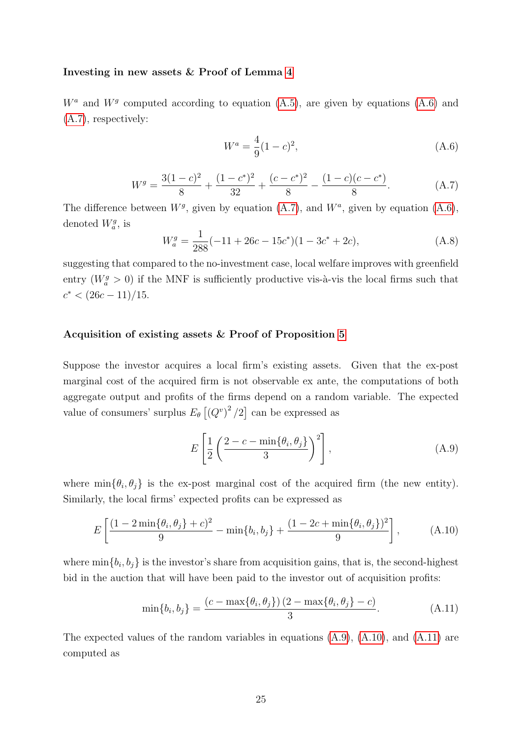#### Investing in new assets  $&$  Proof of Lemma  $\overline{4}$

 $W^a$  and  $W^g$  computed according to equation  $(\overline{A.5})$ , are given by equations  $(\overline{A.6})$  and (A.7), respectively:

$$
W^a = \frac{4}{9}(1-c)^2,
$$
\n(A.6)

$$
W^g = \frac{3(1-c)^2}{8} + \frac{(1-c^*)^2}{32} + \frac{(c-c^*)^2}{8} - \frac{(1-c)(c-c^*)}{8}.
$$
 (A.7)

The difference between  $W^g$ , given by equation  $(\overline{A.7})$ , and  $W^a$ , given by equation  $(\overline{A.6})$ , denoted  $W_q^g$ , is

$$
W_a^g = \frac{1}{288}(-11 + 26c - 15c^*)(1 - 3c^* + 2c), \tag{A.8}
$$

suggesting that compared to the no-investment case, local welfare improves with greenfield entry  $(W_a^g > 0)$  if the MNF is sufficiently productive vis-à-vis the local firms such that  $c^* < (26c - 11)/15$ .

#### Acquisition of existing assets & Proof of Proposition 5

Suppose the investor acquires a local firm's existing assets. Given that the ex-post marginal cost of the acquired firm is not observable ex ante, the computations of both aggregate output and profits of the firms depend on a random variable. The expected value of consumers' surplus  $E_{\theta}$   $\left[ (Q^v)^2 / 2 \right]$  can be expressed as

$$
E\left[\frac{1}{2}\left(\frac{2-c-\min\{\theta_i,\theta_j\}}{3}\right)^2\right],\tag{A.9}
$$

where  $\min{\lbrace \theta_i, \theta_j \rbrace}$  is the ex-post marginal cost of the acquired firm (the new entity). Similarly, the local firms' expected profits can be expressed as

$$
E\left[\frac{(1-2\min{\theta_i, \theta_j}+c)^2}{9}-\min{\{b_i, b_j\}}+\frac{(1-2c+\min{\theta_i, \theta_j}\})^2}{9}\right],\tag{A.10}
$$

where  $\min\{b_i, b_j\}$  is the investor's share from acquisition gains, that is, the second-highest bid in the auction that will have been paid to the investor out of acquisition profits:

$$
\min\{b_i, b_j\} = \frac{(c - \max\{\theta_i, \theta_j\}) (2 - \max\{\theta_i, \theta_j\} - c)}{3}.
$$
\n(A.11)

The expected values of the random variables in equations  $(A.9)$ ,  $(A.10)$ , and  $(A.11)$  are computed as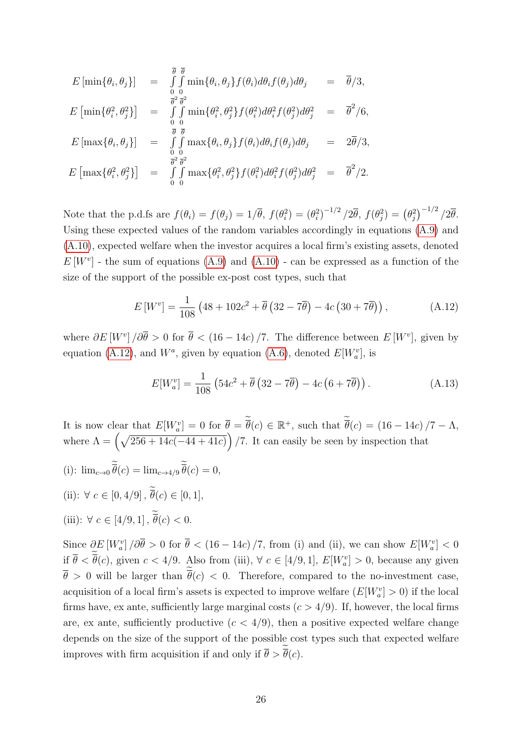$$
E\left[\min\{\theta_i, \theta_j\}\right] = \int_{0}^{\overline{\theta}} \int_{0}^{\overline{\theta}} \min\{\theta_i, \theta_j\} f(\theta_i) d\theta_i f(\theta_j) d\theta_j = \overline{\theta}/3,
$$
  
\n
$$
E\left[\min\{\theta_i^2, \theta_j^2\}\right] = \int_{0}^{\overline{\theta}^2} \int_{0}^{\overline{\theta}^2} \min\{\theta_i^2, \theta_j^2\} f(\theta_i^2) d\theta_i^2 f(\theta_j^2) d\theta_j^2 = \overline{\theta}^2/6,
$$
  
\n
$$
E\left[\max\{\theta_i, \theta_j\}\right] = \int_{0}^{\overline{\theta}} \int_{0}^{\overline{\theta}} \max\{\theta_i, \theta_j\} f(\theta_i) d\theta_i f(\theta_j) d\theta_j = 2\overline{\theta}/3,
$$
  
\n
$$
E\left[\max\{\theta_i^2, \theta_j^2\}\right] = \int_{0}^{\overline{\theta}^2} \int_{0}^{\overline{\theta}^2} \max\{\theta_i^2, \theta_j^2\} f(\theta_i^2) d\theta_i^2 f(\theta_j^2) d\theta_j^2 = \overline{\theta}^2/2.
$$

Note that the p.d.fs are  $f(\theta_i) = f(\theta_j) = 1/\overline{\theta}$ ,  $f(\theta_i^2) = (\theta_i^2)^{-1/2}/2\overline{\theta}$ ,  $f(\theta_j^2) = (\theta_j^2)^{-1/2}/2\overline{\theta}$ . Using these expected values of the random variables accordingly in equations  $(A.9)$  and (A.10), expected welfare when the investor acquires a local firm's existing assets, denoted  $E[W^v]$  - the sum of equations  $\overline{A.9}$  and  $\overline{A.10}$  - can be expressed as a function of the size of the support of the possible ex-post cost types, such that

$$
E\left[W^{v}\right] = \frac{1}{108} \left(48 + 102c^{2} + \overline{\theta} \left(32 - 7\overline{\theta}\right) - 4c \left(30 + 7\overline{\theta}\right)\right),\tag{A.12}
$$

where  $\partial E[W^v]/\partial \overline{\theta} > 0$  for  $\overline{\theta} < (16 - 14c)/7$ . The difference between  $E[W^v]$ , given by equation  $(\overline{A.12})$ , and  $W^a$ , given by equation  $(\overline{A.6})$ , denoted  $E[W^v_a]$ , is

$$
E[W_a^v] = \frac{1}{108} \left( 54c^2 + \overline{\theta} \left( 32 - 7\overline{\theta} \right) - 4c \left( 6 + 7\overline{\theta} \right) \right). \tag{A.13}
$$

It is now clear that  $E[W_a^v] = 0$  for  $\overline{\theta} = \overline{\theta}(c) \in \mathbb{R}^+$ , such that  $\overline{\theta}(c) = (16 - 14c)/7 - \Lambda$ , where  $\Lambda = \left(\sqrt{256 + 14c(-44 + 41c)}\right)/7$ . It can easily be seen by inspection that

(i):  $\lim_{c \to 0} \theta(c) = \lim_{c \to 4/9} \theta(c) = 0,$ (ii):  $\forall c \in [0, 4/9], \overline{\theta}(c) \in [0, 1],$ (iii):  $\forall c \in [4/9, 1], \theta(c) < 0.$ 

Since  $\partial E[W_a^v] / \partial \overline{\theta} > 0$  for  $\overline{\theta} < (16 - 14c) / 7$ , from (i) and (ii), we can show  $E[W_a^v] < 0$ if  $\bar{\theta} < \bar{\theta}(c)$ , given  $c < 4/9$ . Also from (iii),  $\forall c \in [4/9, 1]$ ,  $E[W_a^v] > 0$ , because any given  $\theta > 0$  will be larger than  $\theta(c) < 0$ . Therefore, compared to the no-investment case, acquisition of a local firm's assets is expected to improve welfare  $(E[W_a^v] > 0)$  if the local firms have, ex ante, sufficiently large marginal costs  $(c > 4/9)$ . If, however, the local firms are, ex ante, sufficiently productive  $(c < 4/9)$ , then a positive expected welfare change depends on the size of the support of the possible cost types such that expected welfare improves with firm acquisition if and only if  $\theta > \theta(c)$ .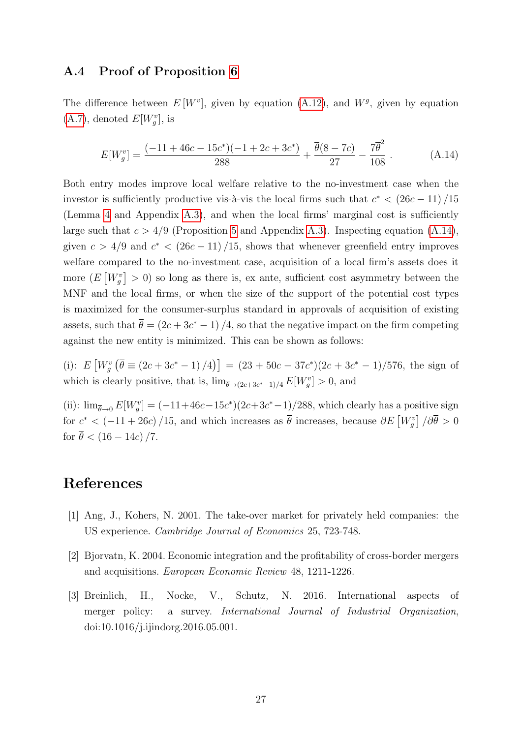### A.4 Proof of Proposition 6

The difference between  $E[W^v]$ , given by equation  $(A.12)$ , and  $W^g$ , given by equation  $(\mathbf{A}.7)$ , denoted  $E[W_g^v]$ , is

$$
E[W_g^v] = \frac{(-11 + 46c - 15c^*)(-1 + 2c + 3c^*)}{288} + \frac{\overline{\theta}(8 - 7c)}{27} - \frac{7\overline{\theta}^2}{108}.
$$
 (A.14)

Both entry modes improve local welfare relative to the no-investment case when the investor is sufficiently productive vis-à-vis the local firms such that  $c^* < (26c - 11)/15$ (Lemma  $\overline{4}$  and Appendix  $\overline{A.3}$ ), and when the local firms' marginal cost is sufficiently large such that  $c > 4/9$  (Proposition  $\overline{5}$  and Appendix A.3). Inspecting equation  $(\overline{A.14})$ , given  $c > 4/9$  and  $c^* < (26c - 11)/15$ , shows that whenever greenfield entry improves welfare compared to the no-investment case, acquisition of a local firm's assets does it more  $(E[W_g^v] > 0)$  so long as there is, ex ante, sufficient cost asymmetry between the MNF and the local firms, or when the size of the support of the potential cost types is maximized for the consumer-surplus standard in approvals of acquisition of existing assets, such that  $\bar{\theta} = (2c + 3c^* - 1)/4$ , so that the negative impact on the firm competing against the new entity is minimized. This can be shown as follows:

(i):  $E[W_g^v(\bar{\theta} \equiv (2c+3c^*-1)/4)] = (23+50c-37c^*)(2c+3c^*-1)/576$ , the sign of which is clearly positive, that is,  $\lim_{\bar{\theta} \to (2c+3c^*-1)/4} E[W_g^v] > 0$ , and

(ii):  $\lim_{\bar{\theta}\to 0} E[W_g^v] = (-11+46c-15c^*)(2c+3c^*-1)/288$ , which clearly has a positive sign for  $c^* < (-11 + 26c)/15$ , and which increases as  $\bar{\theta}$  increases, because  $\partial E[V_g^v]/\partial \bar{\theta} > 0$ for  $\bar{\theta} < (16 - 14c)/7$ .

### References

- [1] Ang, J., Kohers, N. 2001. The take-over market for privately held companies: the US experience. Cambridge Journal of Economics 25, 723-748.
- [2] Bjorvatn, K. 2004. Economic integration and the profitability of cross-border mergers and acquisitions. European Economic Review 48, 1211-1226.
- [3] Breinlich, H., Nocke, V., Schutz, N. 2016. International aspects of merger policy: a survey. International Journal of Industrial Organization, doi:10.1016/j.ijindorg.2016.05.001.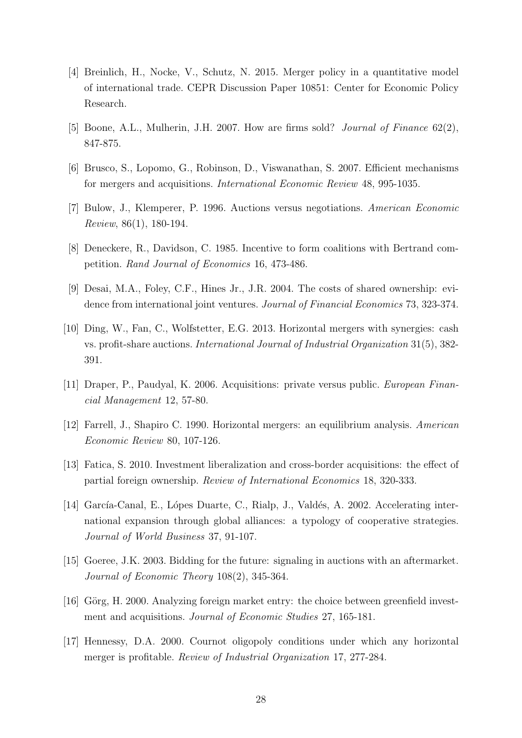- [4] Breinlich, H., Nocke, V., Schutz, N. 2015. Merger policy in a quantitative model of international trade. CEPR Discussion Paper 10851: Center for Economic Policy Research.
- [5] Boone, A.L., Mulherin, J.H. 2007. How are firms sold? *Journal of Finance* 62(2), 847-875.
- [6] Brusco, S., Lopomo, G., Robinson, D., Viswanathan, S. 2007. Efficient mechanisms for mergers and acquisitions. International Economic Review 48, 995-1035.
- [7] Bulow, J., Klemperer, P. 1996. Auctions versus negotiations. American Economic Review, 86(1), 180-194.
- [8] Deneckere, R., Davidson, C. 1985. Incentive to form coalitions with Bertrand competition. Rand Journal of Economics 16, 473-486.
- [9] Desai, M.A., Foley, C.F., Hines Jr., J.R. 2004. The costs of shared ownership: evidence from international joint ventures. Journal of Financial Economics 73, 323-374.
- [10] Ding, W., Fan, C., Wolfstetter, E.G. 2013. Horizontal mergers with synergies: cash vs. profit-share auctions. International Journal of Industrial Organization 31(5), 382- 391.
- [11] Draper, P., Paudyal, K. 2006. Acquisitions: private versus public. European Financial Management 12, 57-80.
- [12] Farrell, J., Shapiro C. 1990. Horizontal mergers: an equilibrium analysis. American Economic Review 80, 107-126.
- [13] Fatica, S. 2010. Investment liberalization and cross-border acquisitions: the effect of partial foreign ownership. Review of International Economics 18, 320-333.
- [14] García-Canal, E., Lópes Duarte, C., Rialp, J., Valdés, A. 2002. Accelerating international expansion through global alliances: a typology of cooperative strategies. Journal of World Business 37, 91-107.
- [15] Goeree, J.K. 2003. Bidding for the future: signaling in auctions with an aftermarket. Journal of Economic Theory 108(2), 345-364.
- [16] Görg, H. 2000. Analyzing foreign market entry: the choice between greenfield investment and acquisitions. *Journal of Economic Studies* 27, 165-181.
- [17] Hennessy, D.A. 2000. Cournot oligopoly conditions under which any horizontal merger is profitable. Review of Industrial Organization 17, 277-284.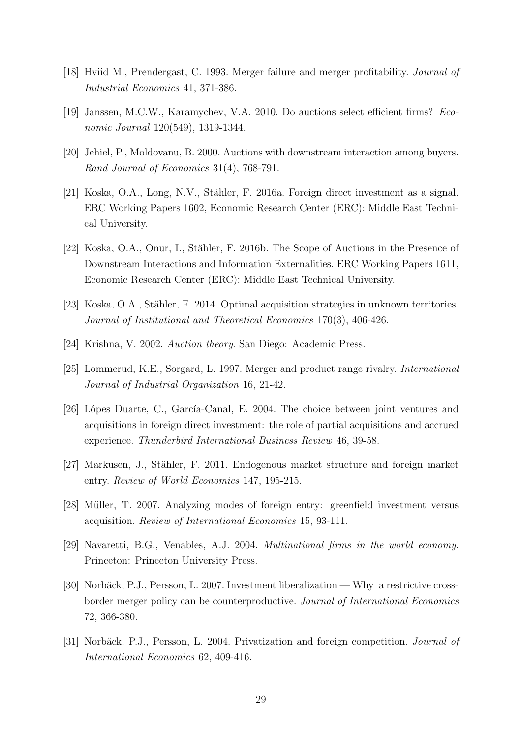- [18] Hviid M., Prendergast, C. 1993. Merger failure and merger profitability. Journal of Industrial Economics 41, 371-386.
- [19] Janssen, M.C.W., Karamychev, V.A. 2010. Do auctions select efficient firms? Economic Journal 120(549), 1319-1344.
- [20] Jehiel, P., Moldovanu, B. 2000. Auctions with downstream interaction among buyers. Rand Journal of Economics 31(4), 768-791.
- [21] Koska, O.A., Long, N.V., Stähler, F. 2016a. Foreign direct investment as a signal. ERC Working Papers 1602, Economic Research Center (ERC): Middle East Technical University.
- [22] Koska, O.A., Onur, I., Stähler, F. 2016b. The Scope of Auctions in the Presence of Downstream Interactions and Information Externalities. ERC Working Papers 1611, Economic Research Center (ERC): Middle East Technical University.
- [23] Koska, O.A., Stähler, F. 2014. Optimal acquisition strategies in unknown territories. Journal of Institutional and Theoretical Economics 170(3), 406-426.
- [24] Krishna, V. 2002. Auction theory. San Diego: Academic Press.
- [25] Lommerud, K.E., Sorgard, L. 1997. Merger and product range rivalry. International Journal of Industrial Organization 16, 21-42.
- [26] Lópes Duarte, C., García-Canal, E. 2004. The choice between joint ventures and acquisitions in foreign direct investment: the role of partial acquisitions and accrued experience. Thunderbird International Business Review 46, 39-58.
- [27] Markusen, J., Stähler, F. 2011. Endogenous market structure and foreign market entry. Review of World Economics 147, 195-215.
- [28] Müller, T. 2007. Analyzing modes of foreign entry: greenfield investment versus acquisition. Review of International Economics 15, 93-111.
- [29] Navaretti, B.G., Venables, A.J. 2004. Multinational firms in the world economy. Princeton: Princeton University Press.
- [30] Norbäck, P.J., Persson, L. 2007. Investment liberalization Why a restrictive crossborder merger policy can be counterproductive. Journal of International Economics 72, 366-380.
- [31] Norbäck, P.J., Persson, L. 2004. Privatization and foreign competition. *Journal of* International Economics 62, 409-416.